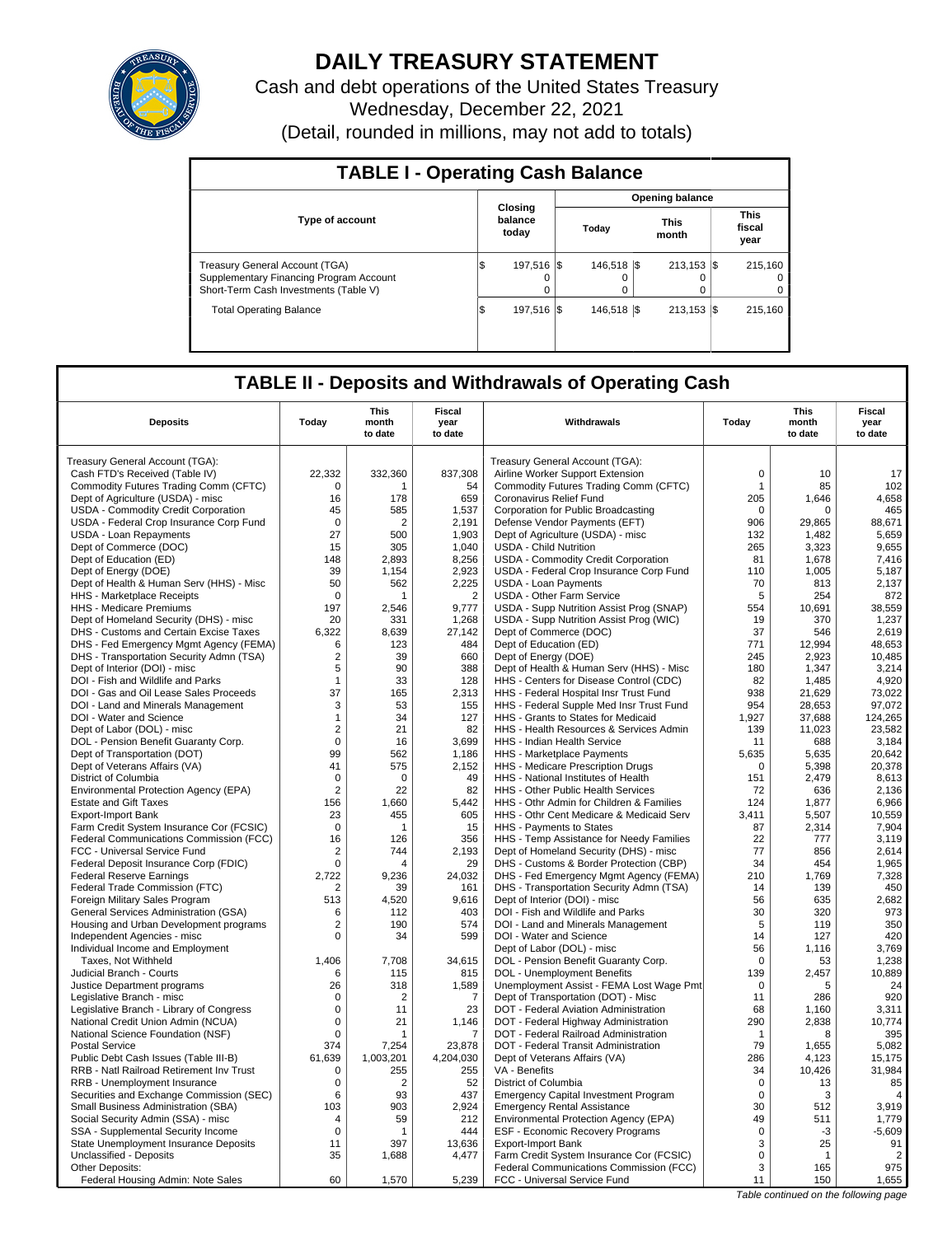

# **DAILY TREASURY STATEMENT**

Cash and debt operations of the United States Treasury Wednesday, December 22, 2021 (Detail, rounded in millions, may not add to totals)

| <b>TABLE I - Operating Cash Balance</b>                                                                            |    |                             |  |                  |  |                                |  |                               |  |  |  |  |
|--------------------------------------------------------------------------------------------------------------------|----|-----------------------------|--|------------------|--|--------------------------------|--|-------------------------------|--|--|--|--|
|                                                                                                                    |    |                             |  |                  |  | Opening balance                |  |                               |  |  |  |  |
| <b>Type of account</b>                                                                                             |    | Closing<br>balance<br>today |  | Today            |  | <b>This</b><br>month           |  | <b>This</b><br>fiscal<br>year |  |  |  |  |
| Treasury General Account (TGA)<br>Supplementary Financing Program Account<br>Short-Term Cash Investments (Table V) |    | 197.516   \$<br>0<br>0      |  | 146.518 \\$<br>0 |  | $213.153$ $\sqrt{5}$<br>0<br>0 |  | 215.160<br>$\Omega$<br>0      |  |  |  |  |
| <b>Total Operating Balance</b>                                                                                     | ß. | 197.516   \$                |  | 146.518 \\$      |  | $213.153$ S                    |  | 215.160                       |  |  |  |  |

# **TABLE II - Deposits and Withdrawals of Operating Cash**

| <b>Deposits</b><br>Today<br>Withdrawals<br>Today<br>month<br>month<br>year<br>year<br>to date<br>to date<br>to date<br>to date<br>Treasury General Account (TGA):<br>Treasury General Account (TGA):<br>Cash FTD's Received (Table IV)<br>22,332<br>332,360<br>837,308<br>Airline Worker Support Extension<br>$\mathbf 0$<br>10<br>17<br>Commodity Futures Trading Comm (CFTC)<br>102<br>$\Omega$<br>54<br>Commodity Futures Trading Comm (CFTC)<br>$\mathbf{1}$<br>85<br>-1<br>Dept of Agriculture (USDA) - misc<br>16<br>659<br>Coronavirus Relief Fund<br>205<br>4,658<br>178<br>1,646<br>465<br>USDA - Commodity Credit Corporation<br>45<br>585<br>1,537<br>Corporation for Public Broadcasting<br>0<br>$\Omega$<br>USDA - Federal Crop Insurance Corp Fund<br>$\Omega$<br>$\overline{2}$<br>2,191<br>Defense Vendor Payments (EFT)<br>906<br>29,865<br>88,671<br>27<br>1,903<br>5,659<br>USDA - Loan Repayments<br>500<br>Dept of Agriculture (USDA) - misc<br>132<br>1,482<br>Dept of Commerce (DOC)<br>305<br>1,040<br><b>USDA - Child Nutrition</b><br>265<br>3,323<br>9,655<br>15<br>Dept of Education (ED)<br>148<br>2.893<br>8,256<br>USDA - Commodity Credit Corporation<br>81<br>1.678<br>7.416<br>Dept of Energy (DOE)<br>39<br>1,154<br>2,923<br>USDA - Federal Crop Insurance Corp Fund<br>110<br>1,005<br>5,187<br>50<br>70<br>2.137<br>Dept of Health & Human Serv (HHS) - Misc<br>562<br>2,225<br><b>USDA - Loan Payments</b><br>813<br>$\overline{2}$<br><b>USDA - Other Farm Service</b><br>5<br>254<br>872<br>HHS - Marketplace Receipts<br>$\Omega$<br>HHS - Medicare Premiums<br>197<br>2,546<br>9.777<br>USDA - Supp Nutrition Assist Prog (SNAP)<br>554<br>10.691<br>38.559<br>Dept of Homeland Security (DHS) - misc<br>20<br>331<br>1,268<br>USDA - Supp Nutrition Assist Prog (WIC)<br>19<br>370<br>1,237<br>2.619<br>DHS - Customs and Certain Excise Taxes<br>6.322<br>8.639<br>27.142<br>Dept of Commerce (DOC)<br>37<br>546<br>Dept of Education (ED)<br>12,994<br>48,653<br>DHS - Fed Emergency Mgmt Agency (FEMA)<br>123<br>484<br>771<br>6<br>DHS - Transportation Security Admn (TSA)<br>$\overline{2}$<br>39<br>660<br>Dept of Energy (DOE)<br>245<br>2,923<br>10.485<br>388<br>180<br>Dept of Interior (DOI) - misc<br>5<br>90<br>Dept of Health & Human Serv (HHS) - Misc<br>1,347<br>3,214<br>DOI - Fish and Wildlife and Parks<br>33<br>128<br>HHS - Centers for Disease Control (CDC)<br>1,485<br>4.920<br>$\mathbf{1}$<br>82<br>37<br>73,022<br>DOI - Gas and Oil Lease Sales Proceeds<br>165<br>2,313<br>HHS - Federal Hospital Insr Trust Fund<br>938<br>21,629<br>DOI - Land and Minerals Management<br>3<br>53<br>155<br>HHS - Federal Supple Med Insr Trust Fund<br>954<br>28,653<br>97,072<br>34<br>127<br>HHS - Grants to States for Medicaid<br>1,927<br>37,688<br>124,265<br>DOI - Water and Science<br>$\mathbf{1}$<br>Dept of Labor (DOL) - misc<br>$\overline{2}$<br>21<br>82<br>HHS - Health Resources & Services Admin<br>139<br>11,023<br>23.582<br>DOL - Pension Benefit Guaranty Corp.<br>$\mathbf 0$<br>3,699<br>HHS - Indian Health Service<br>3,184<br>16<br>688<br>11<br>Dept of Transportation (DOT)<br>99<br>562<br>1,186<br>HHS - Marketplace Payments<br>5,635<br>5,635<br>20,642<br>41<br>575<br>2,152<br>5,398<br>20,378<br>Dept of Veterans Affairs (VA)<br>HHS - Medicare Prescription Drugs<br>$\Omega$<br>49<br>2,479<br>8,613<br>District of Columbia<br>$\Omega$<br>$\Omega$<br>HHS - National Institutes of Health<br>151<br>82<br>2,136<br>Environmental Protection Agency (EPA)<br>$\overline{2}$<br>22<br>HHS - Other Public Health Services<br>72<br>636<br><b>Estate and Gift Taxes</b><br>156<br>1,660<br>5,442<br>HHS - Othr Admin for Children & Families<br>124<br>1,877<br>6,966<br>23<br>605<br>5,507<br>10,559<br>455<br>HHS - Othr Cent Medicare & Medicaid Serv<br>3,411<br>Export-Import Bank<br>7,904<br>Farm Credit System Insurance Cor (FCSIC)<br>$\mathbf 0$<br>15<br>HHS - Payments to States<br>87<br>2,314<br>1<br>Federal Communications Commission (FCC)<br>16<br>126<br>356<br>HHS - Temp Assistance for Needy Families<br>22<br>3,119<br>777<br>77<br>FCC - Universal Service Fund<br>$\overline{2}$<br>744<br>2,193<br>Dept of Homeland Security (DHS) - misc<br>856<br>2,614<br>DHS - Customs & Border Protection (CBP)<br>34<br>454<br>1,965<br>Federal Deposit Insurance Corp (FDIC)<br>$\Omega$<br>29<br>7,328<br><b>Federal Reserve Earnings</b><br>2,722<br>9.236<br>24.032<br>DHS - Fed Emergency Mgmt Agency (FEMA)<br>210<br>1,769<br>450<br>Federal Trade Commission (FTC)<br>39<br>161<br>DHS - Transportation Security Admn (TSA)<br>139<br>2<br>14<br>Foreign Military Sales Program<br>513<br>4,520<br>9,616<br>Dept of Interior (DOI) - misc<br>56<br>635<br>2,682<br>30<br>320<br>973<br><b>General Services Administration (GSA)</b><br>6<br>112<br>403<br>DOI - Fish and Wildlife and Parks<br>Housing and Urban Development programs<br>574<br>DOI - Land and Minerals Management<br>350<br>$\overline{2}$<br>190<br>5<br>119<br>599<br>DOI - Water and Science<br>127<br>420<br>Independent Agencies - misc<br>0<br>34<br>14<br>Individual Income and Employment<br>Dept of Labor (DOL) - misc<br>56<br>1,116<br>3,769<br>7.708<br>34.615<br>1.238<br>Taxes. Not Withheld<br>1.406<br>DOL - Pension Benefit Guaranty Corp.<br>$\Omega$<br>53<br>DOL - Unemployment Benefits<br>10,889<br>Judicial Branch - Courts<br>115<br>815<br>139<br>2,457<br>6<br>Justice Department programs<br>26<br>318<br>1,589<br>Unemployment Assist - FEMA Lost Wage Pmt<br>$\mathbf 0$<br>24<br>5<br>Dept of Transportation (DOT) - Misc<br>11<br>286<br>920<br>Legislative Branch - misc<br>$\Omega$<br>2<br>$\overline{7}$<br>23<br>Legislative Branch - Library of Congress<br>0<br>11<br>DOT - Federal Aviation Administration<br>68<br>1.160<br>3.311<br>290<br>2,838<br>10,774<br>National Credit Union Admin (NCUA)<br>0<br>21<br>1,146<br>DOT - Federal Highway Administration<br>National Science Foundation (NSF)<br>$\mathbf 0$<br>DOT - Federal Railroad Administration<br>395<br>$\overline{1}$<br>7<br>$\mathbf{1}$<br>8<br>79<br><b>Postal Service</b><br>374<br>7,254<br>23,878<br>DOT - Federal Transit Administration<br>1,655<br>5,082<br>61.639<br>Public Debt Cash Issues (Table III-B)<br>1.003.201<br>4,204,030<br>Dept of Veterans Affairs (VA)<br>286<br>4,123<br>15,175<br>31,984<br>RRB - Natl Railroad Retirement Inv Trust<br>$\mathbf 0$<br>255<br>255<br>VA - Benefits<br>34<br>10,426<br>RRB - Unemployment Insurance<br>$\overline{2}$<br>52<br>District of Columbia<br>$\mathbf 0$<br>85<br>0<br>13<br>Securities and Exchange Commission (SEC)<br>93<br>437<br>$\Omega$<br>6<br><b>Emergency Capital Investment Program</b><br>3<br>$\overline{4}$<br>Small Business Administration (SBA)<br>2.924<br><b>Emergency Rental Assistance</b><br>3.919<br>103<br>903<br>30<br>512<br>Social Security Admin (SSA) - misc<br>212<br>Environmental Protection Agency (EPA)<br>49<br>511<br>1,779<br>59<br>4<br>SSA - Supplemental Security Income<br>$\mathbf 0$<br>444<br>ESF - Economic Recovery Programs<br>$\mathbf 0$<br>$-3$<br>$-5,609$<br>1<br>State Unemployment Insurance Deposits<br>397<br>13,636<br><b>Export-Import Bank</b><br>3<br>25<br>91<br>11 |  | <b>This</b> | <b>Fiscal</b> |  | <b>This</b> | <b>Fiscal</b> |
|-----------------------------------------------------------------------------------------------------------------------------------------------------------------------------------------------------------------------------------------------------------------------------------------------------------------------------------------------------------------------------------------------------------------------------------------------------------------------------------------------------------------------------------------------------------------------------------------------------------------------------------------------------------------------------------------------------------------------------------------------------------------------------------------------------------------------------------------------------------------------------------------------------------------------------------------------------------------------------------------------------------------------------------------------------------------------------------------------------------------------------------------------------------------------------------------------------------------------------------------------------------------------------------------------------------------------------------------------------------------------------------------------------------------------------------------------------------------------------------------------------------------------------------------------------------------------------------------------------------------------------------------------------------------------------------------------------------------------------------------------------------------------------------------------------------------------------------------------------------------------------------------------------------------------------------------------------------------------------------------------------------------------------------------------------------------------------------------------------------------------------------------------------------------------------------------------------------------------------------------------------------------------------------------------------------------------------------------------------------------------------------------------------------------------------------------------------------------------------------------------------------------------------------------------------------------------------------------------------------------------------------------------------------------------------------------------------------------------------------------------------------------------------------------------------------------------------------------------------------------------------------------------------------------------------------------------------------------------------------------------------------------------------------------------------------------------------------------------------------------------------------------------------------------------------------------------------------------------------------------------------------------------------------------------------------------------------------------------------------------------------------------------------------------------------------------------------------------------------------------------------------------------------------------------------------------------------------------------------------------------------------------------------------------------------------------------------------------------------------------------------------------------------------------------------------------------------------------------------------------------------------------------------------------------------------------------------------------------------------------------------------------------------------------------------------------------------------------------------------------------------------------------------------------------------------------------------------------------------------------------------------------------------------------------------------------------------------------------------------------------------------------------------------------------------------------------------------------------------------------------------------------------------------------------------------------------------------------------------------------------------------------------------------------------------------------------------------------------------------------------------------------------------------------------------------------------------------------------------------------------------------------------------------------------------------------------------------------------------------------------------------------------------------------------------------------------------------------------------------------------------------------------------------------------------------------------------------------------------------------------------------------------------------------------------------------------------------------------------------------------------------------------------------------------------------------------------------------------------------------------------------------------------------------------------------------------------------------------------------------------------------------------------------------------------------------------------------------------------------------------------------------------------------------------------------------------------------------------------------------------------------------------------------------------------------------------------------------------------------------------------------------------------------------------------------------------------------------------------------------------------------------------------------------------------------------------------------------------------------------------------------------------------------------------------------------------------------------------------------------------------------------------------------------------------------------------------------------------------------------------------------------------------------------------------------------------------------------------------------------------------------------------------------------------------------------------------------------------------------------------------------------------------------------------------------------------------------------------------------------------------------------------------------------------------------------------------------------------------------------------------------------------------------------------------------------------------------------------------------------------------------------------------------------------------------------------------------------------------------------------------------------------------------------------------------|--|-------------|---------------|--|-------------|---------------|
|                                                                                                                                                                                                                                                                                                                                                                                                                                                                                                                                                                                                                                                                                                                                                                                                                                                                                                                                                                                                                                                                                                                                                                                                                                                                                                                                                                                                                                                                                                                                                                                                                                                                                                                                                                                                                                                                                                                                                                                                                                                                                                                                                                                                                                                                                                                                                                                                                                                                                                                                                                                                                                                                                                                                                                                                                                                                                                                                                                                                                                                                                                                                                                                                                                                                                                                                                                                                                                                                                                                                                                                                                                                                                                                                                                                                                                                                                                                                                                                                                                                                                                                                                                                                                                                                                                                                                                                                                                                                                                                                                                                                                                                                                                                                                                                                                                                                                                                                                                                                                                                                                                                                                                                                                                                                                                                                                                                                                                                                                                                                                                                                                                                                                                                                                                                                                                                                                                                                                                                                                                                                                                                                                                                                                                                                                                                                                                                                                                                                                                                                                                                                                                                                                                                                                                                                                                                                                                                                                                                                                                                                                                                                                                                                                                                                                                           |  |             |               |  |             |               |
|                                                                                                                                                                                                                                                                                                                                                                                                                                                                                                                                                                                                                                                                                                                                                                                                                                                                                                                                                                                                                                                                                                                                                                                                                                                                                                                                                                                                                                                                                                                                                                                                                                                                                                                                                                                                                                                                                                                                                                                                                                                                                                                                                                                                                                                                                                                                                                                                                                                                                                                                                                                                                                                                                                                                                                                                                                                                                                                                                                                                                                                                                                                                                                                                                                                                                                                                                                                                                                                                                                                                                                                                                                                                                                                                                                                                                                                                                                                                                                                                                                                                                                                                                                                                                                                                                                                                                                                                                                                                                                                                                                                                                                                                                                                                                                                                                                                                                                                                                                                                                                                                                                                                                                                                                                                                                                                                                                                                                                                                                                                                                                                                                                                                                                                                                                                                                                                                                                                                                                                                                                                                                                                                                                                                                                                                                                                                                                                                                                                                                                                                                                                                                                                                                                                                                                                                                                                                                                                                                                                                                                                                                                                                                                                                                                                                                                           |  |             |               |  |             |               |
|                                                                                                                                                                                                                                                                                                                                                                                                                                                                                                                                                                                                                                                                                                                                                                                                                                                                                                                                                                                                                                                                                                                                                                                                                                                                                                                                                                                                                                                                                                                                                                                                                                                                                                                                                                                                                                                                                                                                                                                                                                                                                                                                                                                                                                                                                                                                                                                                                                                                                                                                                                                                                                                                                                                                                                                                                                                                                                                                                                                                                                                                                                                                                                                                                                                                                                                                                                                                                                                                                                                                                                                                                                                                                                                                                                                                                                                                                                                                                                                                                                                                                                                                                                                                                                                                                                                                                                                                                                                                                                                                                                                                                                                                                                                                                                                                                                                                                                                                                                                                                                                                                                                                                                                                                                                                                                                                                                                                                                                                                                                                                                                                                                                                                                                                                                                                                                                                                                                                                                                                                                                                                                                                                                                                                                                                                                                                                                                                                                                                                                                                                                                                                                                                                                                                                                                                                                                                                                                                                                                                                                                                                                                                                                                                                                                                                                           |  |             |               |  |             |               |
|                                                                                                                                                                                                                                                                                                                                                                                                                                                                                                                                                                                                                                                                                                                                                                                                                                                                                                                                                                                                                                                                                                                                                                                                                                                                                                                                                                                                                                                                                                                                                                                                                                                                                                                                                                                                                                                                                                                                                                                                                                                                                                                                                                                                                                                                                                                                                                                                                                                                                                                                                                                                                                                                                                                                                                                                                                                                                                                                                                                                                                                                                                                                                                                                                                                                                                                                                                                                                                                                                                                                                                                                                                                                                                                                                                                                                                                                                                                                                                                                                                                                                                                                                                                                                                                                                                                                                                                                                                                                                                                                                                                                                                                                                                                                                                                                                                                                                                                                                                                                                                                                                                                                                                                                                                                                                                                                                                                                                                                                                                                                                                                                                                                                                                                                                                                                                                                                                                                                                                                                                                                                                                                                                                                                                                                                                                                                                                                                                                                                                                                                                                                                                                                                                                                                                                                                                                                                                                                                                                                                                                                                                                                                                                                                                                                                                                           |  |             |               |  |             |               |
|                                                                                                                                                                                                                                                                                                                                                                                                                                                                                                                                                                                                                                                                                                                                                                                                                                                                                                                                                                                                                                                                                                                                                                                                                                                                                                                                                                                                                                                                                                                                                                                                                                                                                                                                                                                                                                                                                                                                                                                                                                                                                                                                                                                                                                                                                                                                                                                                                                                                                                                                                                                                                                                                                                                                                                                                                                                                                                                                                                                                                                                                                                                                                                                                                                                                                                                                                                                                                                                                                                                                                                                                                                                                                                                                                                                                                                                                                                                                                                                                                                                                                                                                                                                                                                                                                                                                                                                                                                                                                                                                                                                                                                                                                                                                                                                                                                                                                                                                                                                                                                                                                                                                                                                                                                                                                                                                                                                                                                                                                                                                                                                                                                                                                                                                                                                                                                                                                                                                                                                                                                                                                                                                                                                                                                                                                                                                                                                                                                                                                                                                                                                                                                                                                                                                                                                                                                                                                                                                                                                                                                                                                                                                                                                                                                                                                                           |  |             |               |  |             |               |
|                                                                                                                                                                                                                                                                                                                                                                                                                                                                                                                                                                                                                                                                                                                                                                                                                                                                                                                                                                                                                                                                                                                                                                                                                                                                                                                                                                                                                                                                                                                                                                                                                                                                                                                                                                                                                                                                                                                                                                                                                                                                                                                                                                                                                                                                                                                                                                                                                                                                                                                                                                                                                                                                                                                                                                                                                                                                                                                                                                                                                                                                                                                                                                                                                                                                                                                                                                                                                                                                                                                                                                                                                                                                                                                                                                                                                                                                                                                                                                                                                                                                                                                                                                                                                                                                                                                                                                                                                                                                                                                                                                                                                                                                                                                                                                                                                                                                                                                                                                                                                                                                                                                                                                                                                                                                                                                                                                                                                                                                                                                                                                                                                                                                                                                                                                                                                                                                                                                                                                                                                                                                                                                                                                                                                                                                                                                                                                                                                                                                                                                                                                                                                                                                                                                                                                                                                                                                                                                                                                                                                                                                                                                                                                                                                                                                                                           |  |             |               |  |             |               |
|                                                                                                                                                                                                                                                                                                                                                                                                                                                                                                                                                                                                                                                                                                                                                                                                                                                                                                                                                                                                                                                                                                                                                                                                                                                                                                                                                                                                                                                                                                                                                                                                                                                                                                                                                                                                                                                                                                                                                                                                                                                                                                                                                                                                                                                                                                                                                                                                                                                                                                                                                                                                                                                                                                                                                                                                                                                                                                                                                                                                                                                                                                                                                                                                                                                                                                                                                                                                                                                                                                                                                                                                                                                                                                                                                                                                                                                                                                                                                                                                                                                                                                                                                                                                                                                                                                                                                                                                                                                                                                                                                                                                                                                                                                                                                                                                                                                                                                                                                                                                                                                                                                                                                                                                                                                                                                                                                                                                                                                                                                                                                                                                                                                                                                                                                                                                                                                                                                                                                                                                                                                                                                                                                                                                                                                                                                                                                                                                                                                                                                                                                                                                                                                                                                                                                                                                                                                                                                                                                                                                                                                                                                                                                                                                                                                                                                           |  |             |               |  |             |               |
|                                                                                                                                                                                                                                                                                                                                                                                                                                                                                                                                                                                                                                                                                                                                                                                                                                                                                                                                                                                                                                                                                                                                                                                                                                                                                                                                                                                                                                                                                                                                                                                                                                                                                                                                                                                                                                                                                                                                                                                                                                                                                                                                                                                                                                                                                                                                                                                                                                                                                                                                                                                                                                                                                                                                                                                                                                                                                                                                                                                                                                                                                                                                                                                                                                                                                                                                                                                                                                                                                                                                                                                                                                                                                                                                                                                                                                                                                                                                                                                                                                                                                                                                                                                                                                                                                                                                                                                                                                                                                                                                                                                                                                                                                                                                                                                                                                                                                                                                                                                                                                                                                                                                                                                                                                                                                                                                                                                                                                                                                                                                                                                                                                                                                                                                                                                                                                                                                                                                                                                                                                                                                                                                                                                                                                                                                                                                                                                                                                                                                                                                                                                                                                                                                                                                                                                                                                                                                                                                                                                                                                                                                                                                                                                                                                                                                                           |  |             |               |  |             |               |
|                                                                                                                                                                                                                                                                                                                                                                                                                                                                                                                                                                                                                                                                                                                                                                                                                                                                                                                                                                                                                                                                                                                                                                                                                                                                                                                                                                                                                                                                                                                                                                                                                                                                                                                                                                                                                                                                                                                                                                                                                                                                                                                                                                                                                                                                                                                                                                                                                                                                                                                                                                                                                                                                                                                                                                                                                                                                                                                                                                                                                                                                                                                                                                                                                                                                                                                                                                                                                                                                                                                                                                                                                                                                                                                                                                                                                                                                                                                                                                                                                                                                                                                                                                                                                                                                                                                                                                                                                                                                                                                                                                                                                                                                                                                                                                                                                                                                                                                                                                                                                                                                                                                                                                                                                                                                                                                                                                                                                                                                                                                                                                                                                                                                                                                                                                                                                                                                                                                                                                                                                                                                                                                                                                                                                                                                                                                                                                                                                                                                                                                                                                                                                                                                                                                                                                                                                                                                                                                                                                                                                                                                                                                                                                                                                                                                                                           |  |             |               |  |             |               |
|                                                                                                                                                                                                                                                                                                                                                                                                                                                                                                                                                                                                                                                                                                                                                                                                                                                                                                                                                                                                                                                                                                                                                                                                                                                                                                                                                                                                                                                                                                                                                                                                                                                                                                                                                                                                                                                                                                                                                                                                                                                                                                                                                                                                                                                                                                                                                                                                                                                                                                                                                                                                                                                                                                                                                                                                                                                                                                                                                                                                                                                                                                                                                                                                                                                                                                                                                                                                                                                                                                                                                                                                                                                                                                                                                                                                                                                                                                                                                                                                                                                                                                                                                                                                                                                                                                                                                                                                                                                                                                                                                                                                                                                                                                                                                                                                                                                                                                                                                                                                                                                                                                                                                                                                                                                                                                                                                                                                                                                                                                                                                                                                                                                                                                                                                                                                                                                                                                                                                                                                                                                                                                                                                                                                                                                                                                                                                                                                                                                                                                                                                                                                                                                                                                                                                                                                                                                                                                                                                                                                                                                                                                                                                                                                                                                                                                           |  |             |               |  |             |               |
|                                                                                                                                                                                                                                                                                                                                                                                                                                                                                                                                                                                                                                                                                                                                                                                                                                                                                                                                                                                                                                                                                                                                                                                                                                                                                                                                                                                                                                                                                                                                                                                                                                                                                                                                                                                                                                                                                                                                                                                                                                                                                                                                                                                                                                                                                                                                                                                                                                                                                                                                                                                                                                                                                                                                                                                                                                                                                                                                                                                                                                                                                                                                                                                                                                                                                                                                                                                                                                                                                                                                                                                                                                                                                                                                                                                                                                                                                                                                                                                                                                                                                                                                                                                                                                                                                                                                                                                                                                                                                                                                                                                                                                                                                                                                                                                                                                                                                                                                                                                                                                                                                                                                                                                                                                                                                                                                                                                                                                                                                                                                                                                                                                                                                                                                                                                                                                                                                                                                                                                                                                                                                                                                                                                                                                                                                                                                                                                                                                                                                                                                                                                                                                                                                                                                                                                                                                                                                                                                                                                                                                                                                                                                                                                                                                                                                                           |  |             |               |  |             |               |
|                                                                                                                                                                                                                                                                                                                                                                                                                                                                                                                                                                                                                                                                                                                                                                                                                                                                                                                                                                                                                                                                                                                                                                                                                                                                                                                                                                                                                                                                                                                                                                                                                                                                                                                                                                                                                                                                                                                                                                                                                                                                                                                                                                                                                                                                                                                                                                                                                                                                                                                                                                                                                                                                                                                                                                                                                                                                                                                                                                                                                                                                                                                                                                                                                                                                                                                                                                                                                                                                                                                                                                                                                                                                                                                                                                                                                                                                                                                                                                                                                                                                                                                                                                                                                                                                                                                                                                                                                                                                                                                                                                                                                                                                                                                                                                                                                                                                                                                                                                                                                                                                                                                                                                                                                                                                                                                                                                                                                                                                                                                                                                                                                                                                                                                                                                                                                                                                                                                                                                                                                                                                                                                                                                                                                                                                                                                                                                                                                                                                                                                                                                                                                                                                                                                                                                                                                                                                                                                                                                                                                                                                                                                                                                                                                                                                                                           |  |             |               |  |             |               |
|                                                                                                                                                                                                                                                                                                                                                                                                                                                                                                                                                                                                                                                                                                                                                                                                                                                                                                                                                                                                                                                                                                                                                                                                                                                                                                                                                                                                                                                                                                                                                                                                                                                                                                                                                                                                                                                                                                                                                                                                                                                                                                                                                                                                                                                                                                                                                                                                                                                                                                                                                                                                                                                                                                                                                                                                                                                                                                                                                                                                                                                                                                                                                                                                                                                                                                                                                                                                                                                                                                                                                                                                                                                                                                                                                                                                                                                                                                                                                                                                                                                                                                                                                                                                                                                                                                                                                                                                                                                                                                                                                                                                                                                                                                                                                                                                                                                                                                                                                                                                                                                                                                                                                                                                                                                                                                                                                                                                                                                                                                                                                                                                                                                                                                                                                                                                                                                                                                                                                                                                                                                                                                                                                                                                                                                                                                                                                                                                                                                                                                                                                                                                                                                                                                                                                                                                                                                                                                                                                                                                                                                                                                                                                                                                                                                                                                           |  |             |               |  |             |               |
|                                                                                                                                                                                                                                                                                                                                                                                                                                                                                                                                                                                                                                                                                                                                                                                                                                                                                                                                                                                                                                                                                                                                                                                                                                                                                                                                                                                                                                                                                                                                                                                                                                                                                                                                                                                                                                                                                                                                                                                                                                                                                                                                                                                                                                                                                                                                                                                                                                                                                                                                                                                                                                                                                                                                                                                                                                                                                                                                                                                                                                                                                                                                                                                                                                                                                                                                                                                                                                                                                                                                                                                                                                                                                                                                                                                                                                                                                                                                                                                                                                                                                                                                                                                                                                                                                                                                                                                                                                                                                                                                                                                                                                                                                                                                                                                                                                                                                                                                                                                                                                                                                                                                                                                                                                                                                                                                                                                                                                                                                                                                                                                                                                                                                                                                                                                                                                                                                                                                                                                                                                                                                                                                                                                                                                                                                                                                                                                                                                                                                                                                                                                                                                                                                                                                                                                                                                                                                                                                                                                                                                                                                                                                                                                                                                                                                                           |  |             |               |  |             |               |
|                                                                                                                                                                                                                                                                                                                                                                                                                                                                                                                                                                                                                                                                                                                                                                                                                                                                                                                                                                                                                                                                                                                                                                                                                                                                                                                                                                                                                                                                                                                                                                                                                                                                                                                                                                                                                                                                                                                                                                                                                                                                                                                                                                                                                                                                                                                                                                                                                                                                                                                                                                                                                                                                                                                                                                                                                                                                                                                                                                                                                                                                                                                                                                                                                                                                                                                                                                                                                                                                                                                                                                                                                                                                                                                                                                                                                                                                                                                                                                                                                                                                                                                                                                                                                                                                                                                                                                                                                                                                                                                                                                                                                                                                                                                                                                                                                                                                                                                                                                                                                                                                                                                                                                                                                                                                                                                                                                                                                                                                                                                                                                                                                                                                                                                                                                                                                                                                                                                                                                                                                                                                                                                                                                                                                                                                                                                                                                                                                                                                                                                                                                                                                                                                                                                                                                                                                                                                                                                                                                                                                                                                                                                                                                                                                                                                                                           |  |             |               |  |             |               |
|                                                                                                                                                                                                                                                                                                                                                                                                                                                                                                                                                                                                                                                                                                                                                                                                                                                                                                                                                                                                                                                                                                                                                                                                                                                                                                                                                                                                                                                                                                                                                                                                                                                                                                                                                                                                                                                                                                                                                                                                                                                                                                                                                                                                                                                                                                                                                                                                                                                                                                                                                                                                                                                                                                                                                                                                                                                                                                                                                                                                                                                                                                                                                                                                                                                                                                                                                                                                                                                                                                                                                                                                                                                                                                                                                                                                                                                                                                                                                                                                                                                                                                                                                                                                                                                                                                                                                                                                                                                                                                                                                                                                                                                                                                                                                                                                                                                                                                                                                                                                                                                                                                                                                                                                                                                                                                                                                                                                                                                                                                                                                                                                                                                                                                                                                                                                                                                                                                                                                                                                                                                                                                                                                                                                                                                                                                                                                                                                                                                                                                                                                                                                                                                                                                                                                                                                                                                                                                                                                                                                                                                                                                                                                                                                                                                                                                           |  |             |               |  |             |               |
|                                                                                                                                                                                                                                                                                                                                                                                                                                                                                                                                                                                                                                                                                                                                                                                                                                                                                                                                                                                                                                                                                                                                                                                                                                                                                                                                                                                                                                                                                                                                                                                                                                                                                                                                                                                                                                                                                                                                                                                                                                                                                                                                                                                                                                                                                                                                                                                                                                                                                                                                                                                                                                                                                                                                                                                                                                                                                                                                                                                                                                                                                                                                                                                                                                                                                                                                                                                                                                                                                                                                                                                                                                                                                                                                                                                                                                                                                                                                                                                                                                                                                                                                                                                                                                                                                                                                                                                                                                                                                                                                                                                                                                                                                                                                                                                                                                                                                                                                                                                                                                                                                                                                                                                                                                                                                                                                                                                                                                                                                                                                                                                                                                                                                                                                                                                                                                                                                                                                                                                                                                                                                                                                                                                                                                                                                                                                                                                                                                                                                                                                                                                                                                                                                                                                                                                                                                                                                                                                                                                                                                                                                                                                                                                                                                                                                                           |  |             |               |  |             |               |
|                                                                                                                                                                                                                                                                                                                                                                                                                                                                                                                                                                                                                                                                                                                                                                                                                                                                                                                                                                                                                                                                                                                                                                                                                                                                                                                                                                                                                                                                                                                                                                                                                                                                                                                                                                                                                                                                                                                                                                                                                                                                                                                                                                                                                                                                                                                                                                                                                                                                                                                                                                                                                                                                                                                                                                                                                                                                                                                                                                                                                                                                                                                                                                                                                                                                                                                                                                                                                                                                                                                                                                                                                                                                                                                                                                                                                                                                                                                                                                                                                                                                                                                                                                                                                                                                                                                                                                                                                                                                                                                                                                                                                                                                                                                                                                                                                                                                                                                                                                                                                                                                                                                                                                                                                                                                                                                                                                                                                                                                                                                                                                                                                                                                                                                                                                                                                                                                                                                                                                                                                                                                                                                                                                                                                                                                                                                                                                                                                                                                                                                                                                                                                                                                                                                                                                                                                                                                                                                                                                                                                                                                                                                                                                                                                                                                                                           |  |             |               |  |             |               |
|                                                                                                                                                                                                                                                                                                                                                                                                                                                                                                                                                                                                                                                                                                                                                                                                                                                                                                                                                                                                                                                                                                                                                                                                                                                                                                                                                                                                                                                                                                                                                                                                                                                                                                                                                                                                                                                                                                                                                                                                                                                                                                                                                                                                                                                                                                                                                                                                                                                                                                                                                                                                                                                                                                                                                                                                                                                                                                                                                                                                                                                                                                                                                                                                                                                                                                                                                                                                                                                                                                                                                                                                                                                                                                                                                                                                                                                                                                                                                                                                                                                                                                                                                                                                                                                                                                                                                                                                                                                                                                                                                                                                                                                                                                                                                                                                                                                                                                                                                                                                                                                                                                                                                                                                                                                                                                                                                                                                                                                                                                                                                                                                                                                                                                                                                                                                                                                                                                                                                                                                                                                                                                                                                                                                                                                                                                                                                                                                                                                                                                                                                                                                                                                                                                                                                                                                                                                                                                                                                                                                                                                                                                                                                                                                                                                                                                           |  |             |               |  |             |               |
|                                                                                                                                                                                                                                                                                                                                                                                                                                                                                                                                                                                                                                                                                                                                                                                                                                                                                                                                                                                                                                                                                                                                                                                                                                                                                                                                                                                                                                                                                                                                                                                                                                                                                                                                                                                                                                                                                                                                                                                                                                                                                                                                                                                                                                                                                                                                                                                                                                                                                                                                                                                                                                                                                                                                                                                                                                                                                                                                                                                                                                                                                                                                                                                                                                                                                                                                                                                                                                                                                                                                                                                                                                                                                                                                                                                                                                                                                                                                                                                                                                                                                                                                                                                                                                                                                                                                                                                                                                                                                                                                                                                                                                                                                                                                                                                                                                                                                                                                                                                                                                                                                                                                                                                                                                                                                                                                                                                                                                                                                                                                                                                                                                                                                                                                                                                                                                                                                                                                                                                                                                                                                                                                                                                                                                                                                                                                                                                                                                                                                                                                                                                                                                                                                                                                                                                                                                                                                                                                                                                                                                                                                                                                                                                                                                                                                                           |  |             |               |  |             |               |
|                                                                                                                                                                                                                                                                                                                                                                                                                                                                                                                                                                                                                                                                                                                                                                                                                                                                                                                                                                                                                                                                                                                                                                                                                                                                                                                                                                                                                                                                                                                                                                                                                                                                                                                                                                                                                                                                                                                                                                                                                                                                                                                                                                                                                                                                                                                                                                                                                                                                                                                                                                                                                                                                                                                                                                                                                                                                                                                                                                                                                                                                                                                                                                                                                                                                                                                                                                                                                                                                                                                                                                                                                                                                                                                                                                                                                                                                                                                                                                                                                                                                                                                                                                                                                                                                                                                                                                                                                                                                                                                                                                                                                                                                                                                                                                                                                                                                                                                                                                                                                                                                                                                                                                                                                                                                                                                                                                                                                                                                                                                                                                                                                                                                                                                                                                                                                                                                                                                                                                                                                                                                                                                                                                                                                                                                                                                                                                                                                                                                                                                                                                                                                                                                                                                                                                                                                                                                                                                                                                                                                                                                                                                                                                                                                                                                                                           |  |             |               |  |             |               |
|                                                                                                                                                                                                                                                                                                                                                                                                                                                                                                                                                                                                                                                                                                                                                                                                                                                                                                                                                                                                                                                                                                                                                                                                                                                                                                                                                                                                                                                                                                                                                                                                                                                                                                                                                                                                                                                                                                                                                                                                                                                                                                                                                                                                                                                                                                                                                                                                                                                                                                                                                                                                                                                                                                                                                                                                                                                                                                                                                                                                                                                                                                                                                                                                                                                                                                                                                                                                                                                                                                                                                                                                                                                                                                                                                                                                                                                                                                                                                                                                                                                                                                                                                                                                                                                                                                                                                                                                                                                                                                                                                                                                                                                                                                                                                                                                                                                                                                                                                                                                                                                                                                                                                                                                                                                                                                                                                                                                                                                                                                                                                                                                                                                                                                                                                                                                                                                                                                                                                                                                                                                                                                                                                                                                                                                                                                                                                                                                                                                                                                                                                                                                                                                                                                                                                                                                                                                                                                                                                                                                                                                                                                                                                                                                                                                                                                           |  |             |               |  |             |               |
|                                                                                                                                                                                                                                                                                                                                                                                                                                                                                                                                                                                                                                                                                                                                                                                                                                                                                                                                                                                                                                                                                                                                                                                                                                                                                                                                                                                                                                                                                                                                                                                                                                                                                                                                                                                                                                                                                                                                                                                                                                                                                                                                                                                                                                                                                                                                                                                                                                                                                                                                                                                                                                                                                                                                                                                                                                                                                                                                                                                                                                                                                                                                                                                                                                                                                                                                                                                                                                                                                                                                                                                                                                                                                                                                                                                                                                                                                                                                                                                                                                                                                                                                                                                                                                                                                                                                                                                                                                                                                                                                                                                                                                                                                                                                                                                                                                                                                                                                                                                                                                                                                                                                                                                                                                                                                                                                                                                                                                                                                                                                                                                                                                                                                                                                                                                                                                                                                                                                                                                                                                                                                                                                                                                                                                                                                                                                                                                                                                                                                                                                                                                                                                                                                                                                                                                                                                                                                                                                                                                                                                                                                                                                                                                                                                                                                                           |  |             |               |  |             |               |
|                                                                                                                                                                                                                                                                                                                                                                                                                                                                                                                                                                                                                                                                                                                                                                                                                                                                                                                                                                                                                                                                                                                                                                                                                                                                                                                                                                                                                                                                                                                                                                                                                                                                                                                                                                                                                                                                                                                                                                                                                                                                                                                                                                                                                                                                                                                                                                                                                                                                                                                                                                                                                                                                                                                                                                                                                                                                                                                                                                                                                                                                                                                                                                                                                                                                                                                                                                                                                                                                                                                                                                                                                                                                                                                                                                                                                                                                                                                                                                                                                                                                                                                                                                                                                                                                                                                                                                                                                                                                                                                                                                                                                                                                                                                                                                                                                                                                                                                                                                                                                                                                                                                                                                                                                                                                                                                                                                                                                                                                                                                                                                                                                                                                                                                                                                                                                                                                                                                                                                                                                                                                                                                                                                                                                                                                                                                                                                                                                                                                                                                                                                                                                                                                                                                                                                                                                                                                                                                                                                                                                                                                                                                                                                                                                                                                                                           |  |             |               |  |             |               |
|                                                                                                                                                                                                                                                                                                                                                                                                                                                                                                                                                                                                                                                                                                                                                                                                                                                                                                                                                                                                                                                                                                                                                                                                                                                                                                                                                                                                                                                                                                                                                                                                                                                                                                                                                                                                                                                                                                                                                                                                                                                                                                                                                                                                                                                                                                                                                                                                                                                                                                                                                                                                                                                                                                                                                                                                                                                                                                                                                                                                                                                                                                                                                                                                                                                                                                                                                                                                                                                                                                                                                                                                                                                                                                                                                                                                                                                                                                                                                                                                                                                                                                                                                                                                                                                                                                                                                                                                                                                                                                                                                                                                                                                                                                                                                                                                                                                                                                                                                                                                                                                                                                                                                                                                                                                                                                                                                                                                                                                                                                                                                                                                                                                                                                                                                                                                                                                                                                                                                                                                                                                                                                                                                                                                                                                                                                                                                                                                                                                                                                                                                                                                                                                                                                                                                                                                                                                                                                                                                                                                                                                                                                                                                                                                                                                                                                           |  |             |               |  |             |               |
|                                                                                                                                                                                                                                                                                                                                                                                                                                                                                                                                                                                                                                                                                                                                                                                                                                                                                                                                                                                                                                                                                                                                                                                                                                                                                                                                                                                                                                                                                                                                                                                                                                                                                                                                                                                                                                                                                                                                                                                                                                                                                                                                                                                                                                                                                                                                                                                                                                                                                                                                                                                                                                                                                                                                                                                                                                                                                                                                                                                                                                                                                                                                                                                                                                                                                                                                                                                                                                                                                                                                                                                                                                                                                                                                                                                                                                                                                                                                                                                                                                                                                                                                                                                                                                                                                                                                                                                                                                                                                                                                                                                                                                                                                                                                                                                                                                                                                                                                                                                                                                                                                                                                                                                                                                                                                                                                                                                                                                                                                                                                                                                                                                                                                                                                                                                                                                                                                                                                                                                                                                                                                                                                                                                                                                                                                                                                                                                                                                                                                                                                                                                                                                                                                                                                                                                                                                                                                                                                                                                                                                                                                                                                                                                                                                                                                                           |  |             |               |  |             |               |
|                                                                                                                                                                                                                                                                                                                                                                                                                                                                                                                                                                                                                                                                                                                                                                                                                                                                                                                                                                                                                                                                                                                                                                                                                                                                                                                                                                                                                                                                                                                                                                                                                                                                                                                                                                                                                                                                                                                                                                                                                                                                                                                                                                                                                                                                                                                                                                                                                                                                                                                                                                                                                                                                                                                                                                                                                                                                                                                                                                                                                                                                                                                                                                                                                                                                                                                                                                                                                                                                                                                                                                                                                                                                                                                                                                                                                                                                                                                                                                                                                                                                                                                                                                                                                                                                                                                                                                                                                                                                                                                                                                                                                                                                                                                                                                                                                                                                                                                                                                                                                                                                                                                                                                                                                                                                                                                                                                                                                                                                                                                                                                                                                                                                                                                                                                                                                                                                                                                                                                                                                                                                                                                                                                                                                                                                                                                                                                                                                                                                                                                                                                                                                                                                                                                                                                                                                                                                                                                                                                                                                                                                                                                                                                                                                                                                                                           |  |             |               |  |             |               |
|                                                                                                                                                                                                                                                                                                                                                                                                                                                                                                                                                                                                                                                                                                                                                                                                                                                                                                                                                                                                                                                                                                                                                                                                                                                                                                                                                                                                                                                                                                                                                                                                                                                                                                                                                                                                                                                                                                                                                                                                                                                                                                                                                                                                                                                                                                                                                                                                                                                                                                                                                                                                                                                                                                                                                                                                                                                                                                                                                                                                                                                                                                                                                                                                                                                                                                                                                                                                                                                                                                                                                                                                                                                                                                                                                                                                                                                                                                                                                                                                                                                                                                                                                                                                                                                                                                                                                                                                                                                                                                                                                                                                                                                                                                                                                                                                                                                                                                                                                                                                                                                                                                                                                                                                                                                                                                                                                                                                                                                                                                                                                                                                                                                                                                                                                                                                                                                                                                                                                                                                                                                                                                                                                                                                                                                                                                                                                                                                                                                                                                                                                                                                                                                                                                                                                                                                                                                                                                                                                                                                                                                                                                                                                                                                                                                                                                           |  |             |               |  |             |               |
|                                                                                                                                                                                                                                                                                                                                                                                                                                                                                                                                                                                                                                                                                                                                                                                                                                                                                                                                                                                                                                                                                                                                                                                                                                                                                                                                                                                                                                                                                                                                                                                                                                                                                                                                                                                                                                                                                                                                                                                                                                                                                                                                                                                                                                                                                                                                                                                                                                                                                                                                                                                                                                                                                                                                                                                                                                                                                                                                                                                                                                                                                                                                                                                                                                                                                                                                                                                                                                                                                                                                                                                                                                                                                                                                                                                                                                                                                                                                                                                                                                                                                                                                                                                                                                                                                                                                                                                                                                                                                                                                                                                                                                                                                                                                                                                                                                                                                                                                                                                                                                                                                                                                                                                                                                                                                                                                                                                                                                                                                                                                                                                                                                                                                                                                                                                                                                                                                                                                                                                                                                                                                                                                                                                                                                                                                                                                                                                                                                                                                                                                                                                                                                                                                                                                                                                                                                                                                                                                                                                                                                                                                                                                                                                                                                                                                                           |  |             |               |  |             |               |
|                                                                                                                                                                                                                                                                                                                                                                                                                                                                                                                                                                                                                                                                                                                                                                                                                                                                                                                                                                                                                                                                                                                                                                                                                                                                                                                                                                                                                                                                                                                                                                                                                                                                                                                                                                                                                                                                                                                                                                                                                                                                                                                                                                                                                                                                                                                                                                                                                                                                                                                                                                                                                                                                                                                                                                                                                                                                                                                                                                                                                                                                                                                                                                                                                                                                                                                                                                                                                                                                                                                                                                                                                                                                                                                                                                                                                                                                                                                                                                                                                                                                                                                                                                                                                                                                                                                                                                                                                                                                                                                                                                                                                                                                                                                                                                                                                                                                                                                                                                                                                                                                                                                                                                                                                                                                                                                                                                                                                                                                                                                                                                                                                                                                                                                                                                                                                                                                                                                                                                                                                                                                                                                                                                                                                                                                                                                                                                                                                                                                                                                                                                                                                                                                                                                                                                                                                                                                                                                                                                                                                                                                                                                                                                                                                                                                                                           |  |             |               |  |             |               |
|                                                                                                                                                                                                                                                                                                                                                                                                                                                                                                                                                                                                                                                                                                                                                                                                                                                                                                                                                                                                                                                                                                                                                                                                                                                                                                                                                                                                                                                                                                                                                                                                                                                                                                                                                                                                                                                                                                                                                                                                                                                                                                                                                                                                                                                                                                                                                                                                                                                                                                                                                                                                                                                                                                                                                                                                                                                                                                                                                                                                                                                                                                                                                                                                                                                                                                                                                                                                                                                                                                                                                                                                                                                                                                                                                                                                                                                                                                                                                                                                                                                                                                                                                                                                                                                                                                                                                                                                                                                                                                                                                                                                                                                                                                                                                                                                                                                                                                                                                                                                                                                                                                                                                                                                                                                                                                                                                                                                                                                                                                                                                                                                                                                                                                                                                                                                                                                                                                                                                                                                                                                                                                                                                                                                                                                                                                                                                                                                                                                                                                                                                                                                                                                                                                                                                                                                                                                                                                                                                                                                                                                                                                                                                                                                                                                                                                           |  |             |               |  |             |               |
|                                                                                                                                                                                                                                                                                                                                                                                                                                                                                                                                                                                                                                                                                                                                                                                                                                                                                                                                                                                                                                                                                                                                                                                                                                                                                                                                                                                                                                                                                                                                                                                                                                                                                                                                                                                                                                                                                                                                                                                                                                                                                                                                                                                                                                                                                                                                                                                                                                                                                                                                                                                                                                                                                                                                                                                                                                                                                                                                                                                                                                                                                                                                                                                                                                                                                                                                                                                                                                                                                                                                                                                                                                                                                                                                                                                                                                                                                                                                                                                                                                                                                                                                                                                                                                                                                                                                                                                                                                                                                                                                                                                                                                                                                                                                                                                                                                                                                                                                                                                                                                                                                                                                                                                                                                                                                                                                                                                                                                                                                                                                                                                                                                                                                                                                                                                                                                                                                                                                                                                                                                                                                                                                                                                                                                                                                                                                                                                                                                                                                                                                                                                                                                                                                                                                                                                                                                                                                                                                                                                                                                                                                                                                                                                                                                                                                                           |  |             |               |  |             |               |
|                                                                                                                                                                                                                                                                                                                                                                                                                                                                                                                                                                                                                                                                                                                                                                                                                                                                                                                                                                                                                                                                                                                                                                                                                                                                                                                                                                                                                                                                                                                                                                                                                                                                                                                                                                                                                                                                                                                                                                                                                                                                                                                                                                                                                                                                                                                                                                                                                                                                                                                                                                                                                                                                                                                                                                                                                                                                                                                                                                                                                                                                                                                                                                                                                                                                                                                                                                                                                                                                                                                                                                                                                                                                                                                                                                                                                                                                                                                                                                                                                                                                                                                                                                                                                                                                                                                                                                                                                                                                                                                                                                                                                                                                                                                                                                                                                                                                                                                                                                                                                                                                                                                                                                                                                                                                                                                                                                                                                                                                                                                                                                                                                                                                                                                                                                                                                                                                                                                                                                                                                                                                                                                                                                                                                                                                                                                                                                                                                                                                                                                                                                                                                                                                                                                                                                                                                                                                                                                                                                                                                                                                                                                                                                                                                                                                                                           |  |             |               |  |             |               |
|                                                                                                                                                                                                                                                                                                                                                                                                                                                                                                                                                                                                                                                                                                                                                                                                                                                                                                                                                                                                                                                                                                                                                                                                                                                                                                                                                                                                                                                                                                                                                                                                                                                                                                                                                                                                                                                                                                                                                                                                                                                                                                                                                                                                                                                                                                                                                                                                                                                                                                                                                                                                                                                                                                                                                                                                                                                                                                                                                                                                                                                                                                                                                                                                                                                                                                                                                                                                                                                                                                                                                                                                                                                                                                                                                                                                                                                                                                                                                                                                                                                                                                                                                                                                                                                                                                                                                                                                                                                                                                                                                                                                                                                                                                                                                                                                                                                                                                                                                                                                                                                                                                                                                                                                                                                                                                                                                                                                                                                                                                                                                                                                                                                                                                                                                                                                                                                                                                                                                                                                                                                                                                                                                                                                                                                                                                                                                                                                                                                                                                                                                                                                                                                                                                                                                                                                                                                                                                                                                                                                                                                                                                                                                                                                                                                                                                           |  |             |               |  |             |               |
|                                                                                                                                                                                                                                                                                                                                                                                                                                                                                                                                                                                                                                                                                                                                                                                                                                                                                                                                                                                                                                                                                                                                                                                                                                                                                                                                                                                                                                                                                                                                                                                                                                                                                                                                                                                                                                                                                                                                                                                                                                                                                                                                                                                                                                                                                                                                                                                                                                                                                                                                                                                                                                                                                                                                                                                                                                                                                                                                                                                                                                                                                                                                                                                                                                                                                                                                                                                                                                                                                                                                                                                                                                                                                                                                                                                                                                                                                                                                                                                                                                                                                                                                                                                                                                                                                                                                                                                                                                                                                                                                                                                                                                                                                                                                                                                                                                                                                                                                                                                                                                                                                                                                                                                                                                                                                                                                                                                                                                                                                                                                                                                                                                                                                                                                                                                                                                                                                                                                                                                                                                                                                                                                                                                                                                                                                                                                                                                                                                                                                                                                                                                                                                                                                                                                                                                                                                                                                                                                                                                                                                                                                                                                                                                                                                                                                                           |  |             |               |  |             |               |
|                                                                                                                                                                                                                                                                                                                                                                                                                                                                                                                                                                                                                                                                                                                                                                                                                                                                                                                                                                                                                                                                                                                                                                                                                                                                                                                                                                                                                                                                                                                                                                                                                                                                                                                                                                                                                                                                                                                                                                                                                                                                                                                                                                                                                                                                                                                                                                                                                                                                                                                                                                                                                                                                                                                                                                                                                                                                                                                                                                                                                                                                                                                                                                                                                                                                                                                                                                                                                                                                                                                                                                                                                                                                                                                                                                                                                                                                                                                                                                                                                                                                                                                                                                                                                                                                                                                                                                                                                                                                                                                                                                                                                                                                                                                                                                                                                                                                                                                                                                                                                                                                                                                                                                                                                                                                                                                                                                                                                                                                                                                                                                                                                                                                                                                                                                                                                                                                                                                                                                                                                                                                                                                                                                                                                                                                                                                                                                                                                                                                                                                                                                                                                                                                                                                                                                                                                                                                                                                                                                                                                                                                                                                                                                                                                                                                                                           |  |             |               |  |             |               |
|                                                                                                                                                                                                                                                                                                                                                                                                                                                                                                                                                                                                                                                                                                                                                                                                                                                                                                                                                                                                                                                                                                                                                                                                                                                                                                                                                                                                                                                                                                                                                                                                                                                                                                                                                                                                                                                                                                                                                                                                                                                                                                                                                                                                                                                                                                                                                                                                                                                                                                                                                                                                                                                                                                                                                                                                                                                                                                                                                                                                                                                                                                                                                                                                                                                                                                                                                                                                                                                                                                                                                                                                                                                                                                                                                                                                                                                                                                                                                                                                                                                                                                                                                                                                                                                                                                                                                                                                                                                                                                                                                                                                                                                                                                                                                                                                                                                                                                                                                                                                                                                                                                                                                                                                                                                                                                                                                                                                                                                                                                                                                                                                                                                                                                                                                                                                                                                                                                                                                                                                                                                                                                                                                                                                                                                                                                                                                                                                                                                                                                                                                                                                                                                                                                                                                                                                                                                                                                                                                                                                                                                                                                                                                                                                                                                                                                           |  |             |               |  |             |               |
|                                                                                                                                                                                                                                                                                                                                                                                                                                                                                                                                                                                                                                                                                                                                                                                                                                                                                                                                                                                                                                                                                                                                                                                                                                                                                                                                                                                                                                                                                                                                                                                                                                                                                                                                                                                                                                                                                                                                                                                                                                                                                                                                                                                                                                                                                                                                                                                                                                                                                                                                                                                                                                                                                                                                                                                                                                                                                                                                                                                                                                                                                                                                                                                                                                                                                                                                                                                                                                                                                                                                                                                                                                                                                                                                                                                                                                                                                                                                                                                                                                                                                                                                                                                                                                                                                                                                                                                                                                                                                                                                                                                                                                                                                                                                                                                                                                                                                                                                                                                                                                                                                                                                                                                                                                                                                                                                                                                                                                                                                                                                                                                                                                                                                                                                                                                                                                                                                                                                                                                                                                                                                                                                                                                                                                                                                                                                                                                                                                                                                                                                                                                                                                                                                                                                                                                                                                                                                                                                                                                                                                                                                                                                                                                                                                                                                                           |  |             |               |  |             |               |
|                                                                                                                                                                                                                                                                                                                                                                                                                                                                                                                                                                                                                                                                                                                                                                                                                                                                                                                                                                                                                                                                                                                                                                                                                                                                                                                                                                                                                                                                                                                                                                                                                                                                                                                                                                                                                                                                                                                                                                                                                                                                                                                                                                                                                                                                                                                                                                                                                                                                                                                                                                                                                                                                                                                                                                                                                                                                                                                                                                                                                                                                                                                                                                                                                                                                                                                                                                                                                                                                                                                                                                                                                                                                                                                                                                                                                                                                                                                                                                                                                                                                                                                                                                                                                                                                                                                                                                                                                                                                                                                                                                                                                                                                                                                                                                                                                                                                                                                                                                                                                                                                                                                                                                                                                                                                                                                                                                                                                                                                                                                                                                                                                                                                                                                                                                                                                                                                                                                                                                                                                                                                                                                                                                                                                                                                                                                                                                                                                                                                                                                                                                                                                                                                                                                                                                                                                                                                                                                                                                                                                                                                                                                                                                                                                                                                                                           |  |             |               |  |             |               |
|                                                                                                                                                                                                                                                                                                                                                                                                                                                                                                                                                                                                                                                                                                                                                                                                                                                                                                                                                                                                                                                                                                                                                                                                                                                                                                                                                                                                                                                                                                                                                                                                                                                                                                                                                                                                                                                                                                                                                                                                                                                                                                                                                                                                                                                                                                                                                                                                                                                                                                                                                                                                                                                                                                                                                                                                                                                                                                                                                                                                                                                                                                                                                                                                                                                                                                                                                                                                                                                                                                                                                                                                                                                                                                                                                                                                                                                                                                                                                                                                                                                                                                                                                                                                                                                                                                                                                                                                                                                                                                                                                                                                                                                                                                                                                                                                                                                                                                                                                                                                                                                                                                                                                                                                                                                                                                                                                                                                                                                                                                                                                                                                                                                                                                                                                                                                                                                                                                                                                                                                                                                                                                                                                                                                                                                                                                                                                                                                                                                                                                                                                                                                                                                                                                                                                                                                                                                                                                                                                                                                                                                                                                                                                                                                                                                                                                           |  |             |               |  |             |               |
|                                                                                                                                                                                                                                                                                                                                                                                                                                                                                                                                                                                                                                                                                                                                                                                                                                                                                                                                                                                                                                                                                                                                                                                                                                                                                                                                                                                                                                                                                                                                                                                                                                                                                                                                                                                                                                                                                                                                                                                                                                                                                                                                                                                                                                                                                                                                                                                                                                                                                                                                                                                                                                                                                                                                                                                                                                                                                                                                                                                                                                                                                                                                                                                                                                                                                                                                                                                                                                                                                                                                                                                                                                                                                                                                                                                                                                                                                                                                                                                                                                                                                                                                                                                                                                                                                                                                                                                                                                                                                                                                                                                                                                                                                                                                                                                                                                                                                                                                                                                                                                                                                                                                                                                                                                                                                                                                                                                                                                                                                                                                                                                                                                                                                                                                                                                                                                                                                                                                                                                                                                                                                                                                                                                                                                                                                                                                                                                                                                                                                                                                                                                                                                                                                                                                                                                                                                                                                                                                                                                                                                                                                                                                                                                                                                                                                                           |  |             |               |  |             |               |
|                                                                                                                                                                                                                                                                                                                                                                                                                                                                                                                                                                                                                                                                                                                                                                                                                                                                                                                                                                                                                                                                                                                                                                                                                                                                                                                                                                                                                                                                                                                                                                                                                                                                                                                                                                                                                                                                                                                                                                                                                                                                                                                                                                                                                                                                                                                                                                                                                                                                                                                                                                                                                                                                                                                                                                                                                                                                                                                                                                                                                                                                                                                                                                                                                                                                                                                                                                                                                                                                                                                                                                                                                                                                                                                                                                                                                                                                                                                                                                                                                                                                                                                                                                                                                                                                                                                                                                                                                                                                                                                                                                                                                                                                                                                                                                                                                                                                                                                                                                                                                                                                                                                                                                                                                                                                                                                                                                                                                                                                                                                                                                                                                                                                                                                                                                                                                                                                                                                                                                                                                                                                                                                                                                                                                                                                                                                                                                                                                                                                                                                                                                                                                                                                                                                                                                                                                                                                                                                                                                                                                                                                                                                                                                                                                                                                                                           |  |             |               |  |             |               |
|                                                                                                                                                                                                                                                                                                                                                                                                                                                                                                                                                                                                                                                                                                                                                                                                                                                                                                                                                                                                                                                                                                                                                                                                                                                                                                                                                                                                                                                                                                                                                                                                                                                                                                                                                                                                                                                                                                                                                                                                                                                                                                                                                                                                                                                                                                                                                                                                                                                                                                                                                                                                                                                                                                                                                                                                                                                                                                                                                                                                                                                                                                                                                                                                                                                                                                                                                                                                                                                                                                                                                                                                                                                                                                                                                                                                                                                                                                                                                                                                                                                                                                                                                                                                                                                                                                                                                                                                                                                                                                                                                                                                                                                                                                                                                                                                                                                                                                                                                                                                                                                                                                                                                                                                                                                                                                                                                                                                                                                                                                                                                                                                                                                                                                                                                                                                                                                                                                                                                                                                                                                                                                                                                                                                                                                                                                                                                                                                                                                                                                                                                                                                                                                                                                                                                                                                                                                                                                                                                                                                                                                                                                                                                                                                                                                                                                           |  |             |               |  |             |               |
|                                                                                                                                                                                                                                                                                                                                                                                                                                                                                                                                                                                                                                                                                                                                                                                                                                                                                                                                                                                                                                                                                                                                                                                                                                                                                                                                                                                                                                                                                                                                                                                                                                                                                                                                                                                                                                                                                                                                                                                                                                                                                                                                                                                                                                                                                                                                                                                                                                                                                                                                                                                                                                                                                                                                                                                                                                                                                                                                                                                                                                                                                                                                                                                                                                                                                                                                                                                                                                                                                                                                                                                                                                                                                                                                                                                                                                                                                                                                                                                                                                                                                                                                                                                                                                                                                                                                                                                                                                                                                                                                                                                                                                                                                                                                                                                                                                                                                                                                                                                                                                                                                                                                                                                                                                                                                                                                                                                                                                                                                                                                                                                                                                                                                                                                                                                                                                                                                                                                                                                                                                                                                                                                                                                                                                                                                                                                                                                                                                                                                                                                                                                                                                                                                                                                                                                                                                                                                                                                                                                                                                                                                                                                                                                                                                                                                                           |  |             |               |  |             |               |
|                                                                                                                                                                                                                                                                                                                                                                                                                                                                                                                                                                                                                                                                                                                                                                                                                                                                                                                                                                                                                                                                                                                                                                                                                                                                                                                                                                                                                                                                                                                                                                                                                                                                                                                                                                                                                                                                                                                                                                                                                                                                                                                                                                                                                                                                                                                                                                                                                                                                                                                                                                                                                                                                                                                                                                                                                                                                                                                                                                                                                                                                                                                                                                                                                                                                                                                                                                                                                                                                                                                                                                                                                                                                                                                                                                                                                                                                                                                                                                                                                                                                                                                                                                                                                                                                                                                                                                                                                                                                                                                                                                                                                                                                                                                                                                                                                                                                                                                                                                                                                                                                                                                                                                                                                                                                                                                                                                                                                                                                                                                                                                                                                                                                                                                                                                                                                                                                                                                                                                                                                                                                                                                                                                                                                                                                                                                                                                                                                                                                                                                                                                                                                                                                                                                                                                                                                                                                                                                                                                                                                                                                                                                                                                                                                                                                                                           |  |             |               |  |             |               |
|                                                                                                                                                                                                                                                                                                                                                                                                                                                                                                                                                                                                                                                                                                                                                                                                                                                                                                                                                                                                                                                                                                                                                                                                                                                                                                                                                                                                                                                                                                                                                                                                                                                                                                                                                                                                                                                                                                                                                                                                                                                                                                                                                                                                                                                                                                                                                                                                                                                                                                                                                                                                                                                                                                                                                                                                                                                                                                                                                                                                                                                                                                                                                                                                                                                                                                                                                                                                                                                                                                                                                                                                                                                                                                                                                                                                                                                                                                                                                                                                                                                                                                                                                                                                                                                                                                                                                                                                                                                                                                                                                                                                                                                                                                                                                                                                                                                                                                                                                                                                                                                                                                                                                                                                                                                                                                                                                                                                                                                                                                                                                                                                                                                                                                                                                                                                                                                                                                                                                                                                                                                                                                                                                                                                                                                                                                                                                                                                                                                                                                                                                                                                                                                                                                                                                                                                                                                                                                                                                                                                                                                                                                                                                                                                                                                                                                           |  |             |               |  |             |               |
|                                                                                                                                                                                                                                                                                                                                                                                                                                                                                                                                                                                                                                                                                                                                                                                                                                                                                                                                                                                                                                                                                                                                                                                                                                                                                                                                                                                                                                                                                                                                                                                                                                                                                                                                                                                                                                                                                                                                                                                                                                                                                                                                                                                                                                                                                                                                                                                                                                                                                                                                                                                                                                                                                                                                                                                                                                                                                                                                                                                                                                                                                                                                                                                                                                                                                                                                                                                                                                                                                                                                                                                                                                                                                                                                                                                                                                                                                                                                                                                                                                                                                                                                                                                                                                                                                                                                                                                                                                                                                                                                                                                                                                                                                                                                                                                                                                                                                                                                                                                                                                                                                                                                                                                                                                                                                                                                                                                                                                                                                                                                                                                                                                                                                                                                                                                                                                                                                                                                                                                                                                                                                                                                                                                                                                                                                                                                                                                                                                                                                                                                                                                                                                                                                                                                                                                                                                                                                                                                                                                                                                                                                                                                                                                                                                                                                                           |  |             |               |  |             |               |
|                                                                                                                                                                                                                                                                                                                                                                                                                                                                                                                                                                                                                                                                                                                                                                                                                                                                                                                                                                                                                                                                                                                                                                                                                                                                                                                                                                                                                                                                                                                                                                                                                                                                                                                                                                                                                                                                                                                                                                                                                                                                                                                                                                                                                                                                                                                                                                                                                                                                                                                                                                                                                                                                                                                                                                                                                                                                                                                                                                                                                                                                                                                                                                                                                                                                                                                                                                                                                                                                                                                                                                                                                                                                                                                                                                                                                                                                                                                                                                                                                                                                                                                                                                                                                                                                                                                                                                                                                                                                                                                                                                                                                                                                                                                                                                                                                                                                                                                                                                                                                                                                                                                                                                                                                                                                                                                                                                                                                                                                                                                                                                                                                                                                                                                                                                                                                                                                                                                                                                                                                                                                                                                                                                                                                                                                                                                                                                                                                                                                                                                                                                                                                                                                                                                                                                                                                                                                                                                                                                                                                                                                                                                                                                                                                                                                                                           |  |             |               |  |             |               |
|                                                                                                                                                                                                                                                                                                                                                                                                                                                                                                                                                                                                                                                                                                                                                                                                                                                                                                                                                                                                                                                                                                                                                                                                                                                                                                                                                                                                                                                                                                                                                                                                                                                                                                                                                                                                                                                                                                                                                                                                                                                                                                                                                                                                                                                                                                                                                                                                                                                                                                                                                                                                                                                                                                                                                                                                                                                                                                                                                                                                                                                                                                                                                                                                                                                                                                                                                                                                                                                                                                                                                                                                                                                                                                                                                                                                                                                                                                                                                                                                                                                                                                                                                                                                                                                                                                                                                                                                                                                                                                                                                                                                                                                                                                                                                                                                                                                                                                                                                                                                                                                                                                                                                                                                                                                                                                                                                                                                                                                                                                                                                                                                                                                                                                                                                                                                                                                                                                                                                                                                                                                                                                                                                                                                                                                                                                                                                                                                                                                                                                                                                                                                                                                                                                                                                                                                                                                                                                                                                                                                                                                                                                                                                                                                                                                                                                           |  |             |               |  |             |               |
|                                                                                                                                                                                                                                                                                                                                                                                                                                                                                                                                                                                                                                                                                                                                                                                                                                                                                                                                                                                                                                                                                                                                                                                                                                                                                                                                                                                                                                                                                                                                                                                                                                                                                                                                                                                                                                                                                                                                                                                                                                                                                                                                                                                                                                                                                                                                                                                                                                                                                                                                                                                                                                                                                                                                                                                                                                                                                                                                                                                                                                                                                                                                                                                                                                                                                                                                                                                                                                                                                                                                                                                                                                                                                                                                                                                                                                                                                                                                                                                                                                                                                                                                                                                                                                                                                                                                                                                                                                                                                                                                                                                                                                                                                                                                                                                                                                                                                                                                                                                                                                                                                                                                                                                                                                                                                                                                                                                                                                                                                                                                                                                                                                                                                                                                                                                                                                                                                                                                                                                                                                                                                                                                                                                                                                                                                                                                                                                                                                                                                                                                                                                                                                                                                                                                                                                                                                                                                                                                                                                                                                                                                                                                                                                                                                                                                                           |  |             |               |  |             |               |
|                                                                                                                                                                                                                                                                                                                                                                                                                                                                                                                                                                                                                                                                                                                                                                                                                                                                                                                                                                                                                                                                                                                                                                                                                                                                                                                                                                                                                                                                                                                                                                                                                                                                                                                                                                                                                                                                                                                                                                                                                                                                                                                                                                                                                                                                                                                                                                                                                                                                                                                                                                                                                                                                                                                                                                                                                                                                                                                                                                                                                                                                                                                                                                                                                                                                                                                                                                                                                                                                                                                                                                                                                                                                                                                                                                                                                                                                                                                                                                                                                                                                                                                                                                                                                                                                                                                                                                                                                                                                                                                                                                                                                                                                                                                                                                                                                                                                                                                                                                                                                                                                                                                                                                                                                                                                                                                                                                                                                                                                                                                                                                                                                                                                                                                                                                                                                                                                                                                                                                                                                                                                                                                                                                                                                                                                                                                                                                                                                                                                                                                                                                                                                                                                                                                                                                                                                                                                                                                                                                                                                                                                                                                                                                                                                                                                                                           |  |             |               |  |             |               |
|                                                                                                                                                                                                                                                                                                                                                                                                                                                                                                                                                                                                                                                                                                                                                                                                                                                                                                                                                                                                                                                                                                                                                                                                                                                                                                                                                                                                                                                                                                                                                                                                                                                                                                                                                                                                                                                                                                                                                                                                                                                                                                                                                                                                                                                                                                                                                                                                                                                                                                                                                                                                                                                                                                                                                                                                                                                                                                                                                                                                                                                                                                                                                                                                                                                                                                                                                                                                                                                                                                                                                                                                                                                                                                                                                                                                                                                                                                                                                                                                                                                                                                                                                                                                                                                                                                                                                                                                                                                                                                                                                                                                                                                                                                                                                                                                                                                                                                                                                                                                                                                                                                                                                                                                                                                                                                                                                                                                                                                                                                                                                                                                                                                                                                                                                                                                                                                                                                                                                                                                                                                                                                                                                                                                                                                                                                                                                                                                                                                                                                                                                                                                                                                                                                                                                                                                                                                                                                                                                                                                                                                                                                                                                                                                                                                                                                           |  |             |               |  |             |               |
|                                                                                                                                                                                                                                                                                                                                                                                                                                                                                                                                                                                                                                                                                                                                                                                                                                                                                                                                                                                                                                                                                                                                                                                                                                                                                                                                                                                                                                                                                                                                                                                                                                                                                                                                                                                                                                                                                                                                                                                                                                                                                                                                                                                                                                                                                                                                                                                                                                                                                                                                                                                                                                                                                                                                                                                                                                                                                                                                                                                                                                                                                                                                                                                                                                                                                                                                                                                                                                                                                                                                                                                                                                                                                                                                                                                                                                                                                                                                                                                                                                                                                                                                                                                                                                                                                                                                                                                                                                                                                                                                                                                                                                                                                                                                                                                                                                                                                                                                                                                                                                                                                                                                                                                                                                                                                                                                                                                                                                                                                                                                                                                                                                                                                                                                                                                                                                                                                                                                                                                                                                                                                                                                                                                                                                                                                                                                                                                                                                                                                                                                                                                                                                                                                                                                                                                                                                                                                                                                                                                                                                                                                                                                                                                                                                                                                                           |  |             |               |  |             |               |
|                                                                                                                                                                                                                                                                                                                                                                                                                                                                                                                                                                                                                                                                                                                                                                                                                                                                                                                                                                                                                                                                                                                                                                                                                                                                                                                                                                                                                                                                                                                                                                                                                                                                                                                                                                                                                                                                                                                                                                                                                                                                                                                                                                                                                                                                                                                                                                                                                                                                                                                                                                                                                                                                                                                                                                                                                                                                                                                                                                                                                                                                                                                                                                                                                                                                                                                                                                                                                                                                                                                                                                                                                                                                                                                                                                                                                                                                                                                                                                                                                                                                                                                                                                                                                                                                                                                                                                                                                                                                                                                                                                                                                                                                                                                                                                                                                                                                                                                                                                                                                                                                                                                                                                                                                                                                                                                                                                                                                                                                                                                                                                                                                                                                                                                                                                                                                                                                                                                                                                                                                                                                                                                                                                                                                                                                                                                                                                                                                                                                                                                                                                                                                                                                                                                                                                                                                                                                                                                                                                                                                                                                                                                                                                                                                                                                                                           |  |             |               |  |             |               |
|                                                                                                                                                                                                                                                                                                                                                                                                                                                                                                                                                                                                                                                                                                                                                                                                                                                                                                                                                                                                                                                                                                                                                                                                                                                                                                                                                                                                                                                                                                                                                                                                                                                                                                                                                                                                                                                                                                                                                                                                                                                                                                                                                                                                                                                                                                                                                                                                                                                                                                                                                                                                                                                                                                                                                                                                                                                                                                                                                                                                                                                                                                                                                                                                                                                                                                                                                                                                                                                                                                                                                                                                                                                                                                                                                                                                                                                                                                                                                                                                                                                                                                                                                                                                                                                                                                                                                                                                                                                                                                                                                                                                                                                                                                                                                                                                                                                                                                                                                                                                                                                                                                                                                                                                                                                                                                                                                                                                                                                                                                                                                                                                                                                                                                                                                                                                                                                                                                                                                                                                                                                                                                                                                                                                                                                                                                                                                                                                                                                                                                                                                                                                                                                                                                                                                                                                                                                                                                                                                                                                                                                                                                                                                                                                                                                                                                           |  |             |               |  |             |               |
|                                                                                                                                                                                                                                                                                                                                                                                                                                                                                                                                                                                                                                                                                                                                                                                                                                                                                                                                                                                                                                                                                                                                                                                                                                                                                                                                                                                                                                                                                                                                                                                                                                                                                                                                                                                                                                                                                                                                                                                                                                                                                                                                                                                                                                                                                                                                                                                                                                                                                                                                                                                                                                                                                                                                                                                                                                                                                                                                                                                                                                                                                                                                                                                                                                                                                                                                                                                                                                                                                                                                                                                                                                                                                                                                                                                                                                                                                                                                                                                                                                                                                                                                                                                                                                                                                                                                                                                                                                                                                                                                                                                                                                                                                                                                                                                                                                                                                                                                                                                                                                                                                                                                                                                                                                                                                                                                                                                                                                                                                                                                                                                                                                                                                                                                                                                                                                                                                                                                                                                                                                                                                                                                                                                                                                                                                                                                                                                                                                                                                                                                                                                                                                                                                                                                                                                                                                                                                                                                                                                                                                                                                                                                                                                                                                                                                                           |  |             |               |  |             |               |
|                                                                                                                                                                                                                                                                                                                                                                                                                                                                                                                                                                                                                                                                                                                                                                                                                                                                                                                                                                                                                                                                                                                                                                                                                                                                                                                                                                                                                                                                                                                                                                                                                                                                                                                                                                                                                                                                                                                                                                                                                                                                                                                                                                                                                                                                                                                                                                                                                                                                                                                                                                                                                                                                                                                                                                                                                                                                                                                                                                                                                                                                                                                                                                                                                                                                                                                                                                                                                                                                                                                                                                                                                                                                                                                                                                                                                                                                                                                                                                                                                                                                                                                                                                                                                                                                                                                                                                                                                                                                                                                                                                                                                                                                                                                                                                                                                                                                                                                                                                                                                                                                                                                                                                                                                                                                                                                                                                                                                                                                                                                                                                                                                                                                                                                                                                                                                                                                                                                                                                                                                                                                                                                                                                                                                                                                                                                                                                                                                                                                                                                                                                                                                                                                                                                                                                                                                                                                                                                                                                                                                                                                                                                                                                                                                                                                                                           |  |             |               |  |             |               |
| Unclassified - Deposits<br>35<br>1,688<br>4,477<br>Farm Credit System Insurance Cor (FCSIC)<br>$\Omega$<br>$\overline{1}$<br>$\overline{2}$<br>975                                                                                                                                                                                                                                                                                                                                                                                                                                                                                                                                                                                                                                                                                                                                                                                                                                                                                                                                                                                                                                                                                                                                                                                                                                                                                                                                                                                                                                                                                                                                                                                                                                                                                                                                                                                                                                                                                                                                                                                                                                                                                                                                                                                                                                                                                                                                                                                                                                                                                                                                                                                                                                                                                                                                                                                                                                                                                                                                                                                                                                                                                                                                                                                                                                                                                                                                                                                                                                                                                                                                                                                                                                                                                                                                                                                                                                                                                                                                                                                                                                                                                                                                                                                                                                                                                                                                                                                                                                                                                                                                                                                                                                                                                                                                                                                                                                                                                                                                                                                                                                                                                                                                                                                                                                                                                                                                                                                                                                                                                                                                                                                                                                                                                                                                                                                                                                                                                                                                                                                                                                                                                                                                                                                                                                                                                                                                                                                                                                                                                                                                                                                                                                                                                                                                                                                                                                                                                                                                                                                                                                                                                                                                                        |  |             |               |  |             |               |
| Other Deposits:<br>Federal Communications Commission (FCC)<br>3<br>165<br>Federal Housing Admin: Note Sales<br>60<br>1,570<br>5,239<br>FCC - Universal Service Fund<br>1,655<br>11<br>150                                                                                                                                                                                                                                                                                                                                                                                                                                                                                                                                                                                                                                                                                                                                                                                                                                                                                                                                                                                                                                                                                                                                                                                                                                                                                                                                                                                                                                                                                                                                                                                                                                                                                                                                                                                                                                                                                                                                                                                                                                                                                                                                                                                                                                                                                                                                                                                                                                                                                                                                                                                                                                                                                                                                                                                                                                                                                                                                                                                                                                                                                                                                                                                                                                                                                                                                                                                                                                                                                                                                                                                                                                                                                                                                                                                                                                                                                                                                                                                                                                                                                                                                                                                                                                                                                                                                                                                                                                                                                                                                                                                                                                                                                                                                                                                                                                                                                                                                                                                                                                                                                                                                                                                                                                                                                                                                                                                                                                                                                                                                                                                                                                                                                                                                                                                                                                                                                                                                                                                                                                                                                                                                                                                                                                                                                                                                                                                                                                                                                                                                                                                                                                                                                                                                                                                                                                                                                                                                                                                                                                                                                                                 |  |             |               |  |             |               |
| Table continued on the following page                                                                                                                                                                                                                                                                                                                                                                                                                                                                                                                                                                                                                                                                                                                                                                                                                                                                                                                                                                                                                                                                                                                                                                                                                                                                                                                                                                                                                                                                                                                                                                                                                                                                                                                                                                                                                                                                                                                                                                                                                                                                                                                                                                                                                                                                                                                                                                                                                                                                                                                                                                                                                                                                                                                                                                                                                                                                                                                                                                                                                                                                                                                                                                                                                                                                                                                                                                                                                                                                                                                                                                                                                                                                                                                                                                                                                                                                                                                                                                                                                                                                                                                                                                                                                                                                                                                                                                                                                                                                                                                                                                                                                                                                                                                                                                                                                                                                                                                                                                                                                                                                                                                                                                                                                                                                                                                                                                                                                                                                                                                                                                                                                                                                                                                                                                                                                                                                                                                                                                                                                                                                                                                                                                                                                                                                                                                                                                                                                                                                                                                                                                                                                                                                                                                                                                                                                                                                                                                                                                                                                                                                                                                                                                                                                                                                     |  |             |               |  |             |               |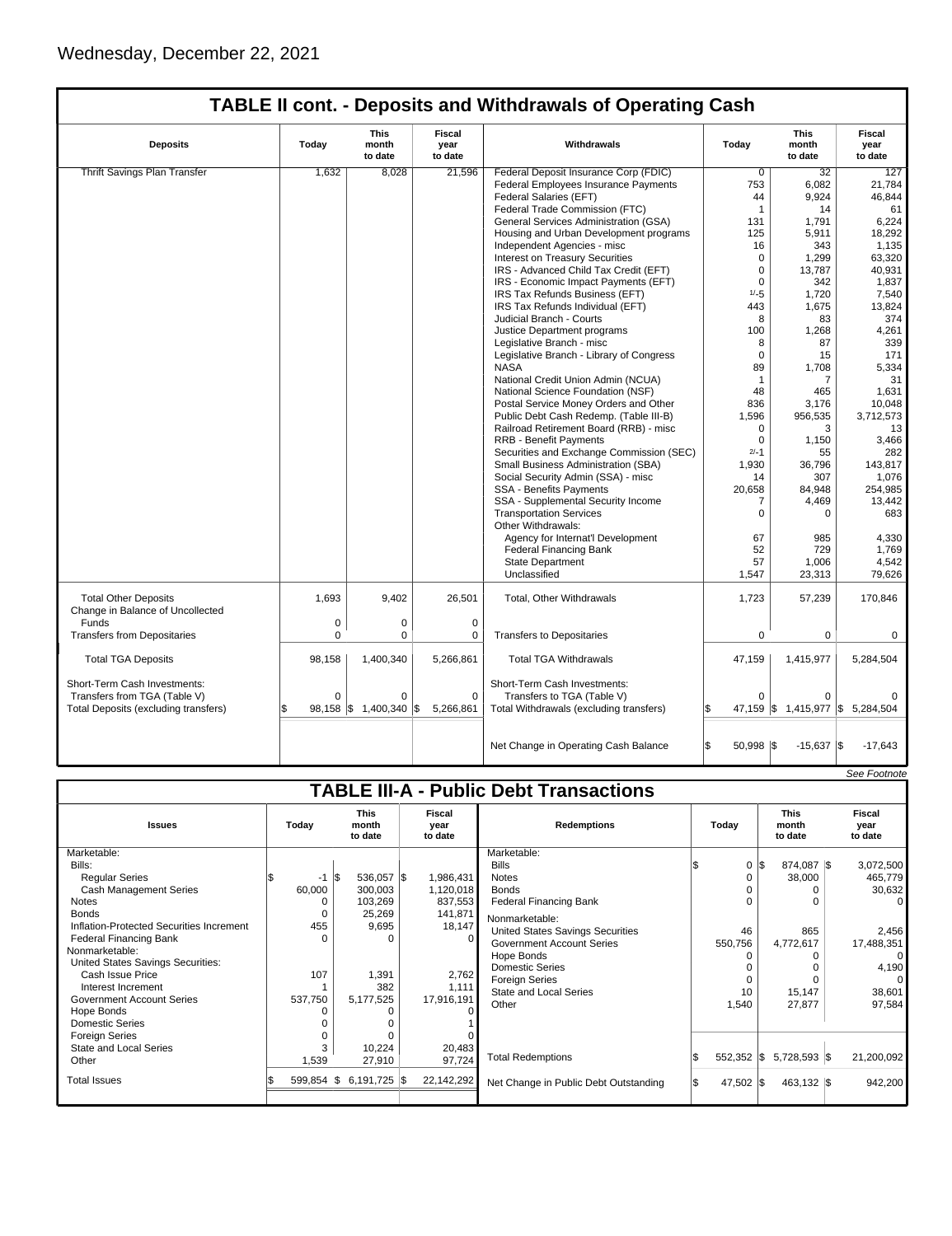| <b>TABLE II cont. - Deposits and Withdrawals of Operating Cash</b> |       |                                 |                                  |                                          |        |                                 |                           |  |  |
|--------------------------------------------------------------------|-------|---------------------------------|----------------------------------|------------------------------------------|--------|---------------------------------|---------------------------|--|--|
| <b>Deposits</b>                                                    | Today | <b>This</b><br>month<br>to date | <b>Fiscal</b><br>year<br>to date | Withdrawals                              | Today  | <b>This</b><br>month<br>to date | Fiscal<br>year<br>to date |  |  |
| Thrift Savings Plan Transfer                                       | 1,632 | 8,028                           | 21,596                           | Federal Deposit Insurance Corp (FDIC)    | 0      | 32                              | 127                       |  |  |
|                                                                    |       |                                 |                                  | Federal Employees Insurance Payments     | 753    | 6,082                           | 21,784                    |  |  |
|                                                                    |       |                                 |                                  | Federal Salaries (EFT)                   | 44     | 9,924                           | 46.844                    |  |  |
|                                                                    |       |                                 |                                  | Federal Trade Commission (FTC)           |        | 14                              | 61                        |  |  |
|                                                                    |       |                                 |                                  | General Services Administration (GSA)    | 131    | 1,791                           | 6,224                     |  |  |
|                                                                    |       |                                 |                                  | Housing and Urban Development programs   | 125    | 5,911                           | 18,292                    |  |  |
|                                                                    |       |                                 |                                  | Independent Agencies - misc              | 16     | 343                             | 1,135                     |  |  |
|                                                                    |       |                                 |                                  | Interest on Treasury Securities          |        | 1,299                           | 63,320                    |  |  |
|                                                                    |       |                                 |                                  | IRS - Advanced Child Tax Credit (EFT)    |        | 13.787                          | 40,931                    |  |  |
|                                                                    |       |                                 |                                  | IRS - Economic Impact Payments (EFT)     |        | 342                             | 1,837                     |  |  |
|                                                                    |       |                                 |                                  | IRS Tax Refunds Business (EFT)           | $1/-5$ | 1,720                           | 7,540                     |  |  |
|                                                                    |       |                                 |                                  | IRS Tax Refunds Individual (EFT)         | 443    | 1,675                           | 13,824                    |  |  |
|                                                                    |       |                                 |                                  | Judicial Branch - Courts                 | 8      | 83                              | 374                       |  |  |
|                                                                    |       |                                 |                                  | Justice Department programs              | 100    | 1,268                           | 4,261                     |  |  |
|                                                                    |       |                                 |                                  | Legislative Branch - misc                | 8      | 87                              | 339                       |  |  |
|                                                                    |       |                                 |                                  | Legislative Branch - Library of Congress | 0      | 15                              | 171                       |  |  |
|                                                                    |       |                                 |                                  | <b>NASA</b>                              | 89     | 1,708                           | 5,334                     |  |  |
|                                                                    |       |                                 |                                  | National Credit Union Admin (NCUA)       |        |                                 | 31                        |  |  |

National Science Foundation (NSF) 48 | 465 | 1,631<br>Postal Service Money Orders and Other 836 | 3,176 | 10,048

|                                                  |                      |                 |           | Public Debt Cash Redemp. (Table III-B)   | 1,596       | 956,535        | 3,712,573 |
|--------------------------------------------------|----------------------|-----------------|-----------|------------------------------------------|-------------|----------------|-----------|
|                                                  |                      |                 |           | Railroad Retirement Board (RRB) - misc   | 0           | 3              | 13        |
|                                                  |                      |                 |           | <b>RRB - Benefit Payments</b>            | $\Omega$    | 1,150          | 3,466     |
|                                                  |                      |                 |           | Securities and Exchange Commission (SEC) | $2/-1$      | 55             | 282       |
|                                                  |                      |                 |           | Small Business Administration (SBA)      | 1,930       | 36,796         | 143,817   |
|                                                  |                      |                 |           | Social Security Admin (SSA) - misc       | 14          | 307            | 1,076     |
|                                                  |                      |                 |           | <b>SSA - Benefits Payments</b>           | 20,658      | 84,948         | 254,985   |
|                                                  |                      |                 |           | SSA - Supplemental Security Income       |             | 4,469          | 13,442    |
|                                                  |                      |                 |           | <b>Transportation Services</b>           |             |                | 683       |
|                                                  |                      |                 |           | Other Withdrawals:                       |             |                |           |
|                                                  |                      |                 |           | Agency for Internat'l Development        | 67          | 985            | 4,330     |
|                                                  |                      |                 |           | Federal Financing Bank                   | 52          | 729            | 1,769     |
|                                                  |                      |                 |           | <b>State Department</b>                  | 57          | 1,006          | 4,542     |
|                                                  |                      |                 |           | Unclassified                             | 1,547       | 23,313         | 79,626    |
| <b>Total Other Deposits</b>                      | 1,693                | 9,402           | 26,501    | Total, Other Withdrawals                 | 1,723       | 57,239         | 170,846   |
| Change in Balance of Uncollected<br><b>Funds</b> |                      |                 |           |                                          |             |                |           |
| <b>Transfers from Depositaries</b>               | $\Omega$<br>$\Omega$ | 0<br>O          |           | <b>Transfers to Depositaries</b>         | $\Omega$    | $\Omega$       | 0         |
|                                                  |                      |                 |           |                                          |             |                |           |
| <b>Total TGA Deposits</b>                        | 98,158               | 1,400,340       | 5,266,861 | <b>Total TGA Withdrawals</b>             | 47,159      | 1,415,977      | 5,284,504 |
| Short-Term Cash Investments:                     |                      |                 |           | Short-Term Cash Investments:             |             |                |           |
| Transfers from TGA (Table V)                     | $\Omega$             | O               | $\Omega$  | Transfers to TGA (Table V)               | $\mathbf 0$ | $\Omega$       |           |
| Total Deposits (excluding transfers)             | $98,158$ \\$         | $1,400,340$ \\$ | 5,266,861 | Total Withdrawals (excluding transfers)  | $47,159$ \$ | $1,415,977$ \$ | 5,284,504 |
|                                                  |                      |                 |           |                                          |             |                |           |
|                                                  |                      |                 |           |                                          |             |                |           |
|                                                  |                      |                 |           | Net Change in Operating Cash Balance     | $50,998$ \$ | $-15,637$ \$   | $-17,643$ |

|                                               |          |                                 |                           |                                       |  |           |                                 |  | See Footnote              |  |  |  |
|-----------------------------------------------|----------|---------------------------------|---------------------------|---------------------------------------|--|-----------|---------------------------------|--|---------------------------|--|--|--|
| <b>TABLE III-A - Public Debt Transactions</b> |          |                                 |                           |                                       |  |           |                                 |  |                           |  |  |  |
| <b>Issues</b>                                 | Today    | <b>This</b><br>month<br>to date | Fiscal<br>year<br>to date | <b>Redemptions</b>                    |  | Today     | <b>This</b><br>month<br>to date |  | Fiscal<br>year<br>to date |  |  |  |
| Marketable:                                   |          |                                 |                           | Marketable:                           |  |           |                                 |  |                           |  |  |  |
| Bills:                                        |          |                                 |                           | <b>Bills</b>                          |  | 0         | 1\$<br>874,087 \$               |  | 3,072,500                 |  |  |  |
| <b>Regular Series</b>                         | -1       | 536,057 \$                      | 1,986,431                 | <b>Notes</b>                          |  |           | 38,000                          |  | 465,779                   |  |  |  |
| Cash Management Series                        | 60,000   | 300,003                         | 1,120,018                 | <b>Bonds</b>                          |  |           |                                 |  | 30,632                    |  |  |  |
| <b>Notes</b>                                  | 0        | 103,269                         | 837,553                   | <b>Federal Financing Bank</b>         |  |           |                                 |  | $\Omega$                  |  |  |  |
| <b>Bonds</b>                                  | 0        | 25,269                          | 141,871                   | Nonmarketable:                        |  |           |                                 |  |                           |  |  |  |
| Inflation-Protected Securities Increment      | 455      | 9,695                           | 18,147                    | United States Savings Securities      |  | 46        | 865                             |  | 2,456                     |  |  |  |
| <b>Federal Financing Bank</b>                 | $\Omega$ | 0                               |                           | <b>Government Account Series</b>      |  | 550,756   | 4,772,617                       |  | 17,488,351                |  |  |  |
| Nonmarketable:                                |          |                                 |                           | Hope Bonds                            |  |           |                                 |  | $\Omega$                  |  |  |  |
| United States Savings Securities:             |          |                                 |                           | Domestic Series                       |  |           |                                 |  | 4,190                     |  |  |  |
| Cash Issue Price                              | 107      | 1,391                           | 2,762                     | <b>Foreign Series</b>                 |  |           |                                 |  | $\Omega$                  |  |  |  |
| Interest Increment                            |          | 382                             | 1,111                     | <b>State and Local Series</b>         |  | 10        | 15,147                          |  | 38,601                    |  |  |  |
| <b>Government Account Series</b>              | 537,750  | 5,177,525                       | 17,916,191                | Other                                 |  | 1,540     | 27,877                          |  | 97,584                    |  |  |  |
| Hope Bonds                                    |          |                                 |                           |                                       |  |           |                                 |  |                           |  |  |  |
| Domestic Series                               |          |                                 |                           |                                       |  |           |                                 |  |                           |  |  |  |
| <b>Foreign Series</b>                         |          | $\Omega$                        |                           |                                       |  |           |                                 |  |                           |  |  |  |
| <b>State and Local Series</b>                 | 3        | 10,224                          | 20,483                    | <b>Total Redemptions</b>              |  |           | 552,352 \$ 5,728,593 \$         |  | 21,200,092                |  |  |  |
| Other                                         | 1,539    | 27,910                          | 97,724                    |                                       |  |           |                                 |  |                           |  |  |  |
| <b>Total Issues</b>                           | 599,854  | $6,191,725$ \$<br>IS.           | 22,142,292                | Net Change in Public Debt Outstanding |  | 47,502 \$ | $463,132$ \\$                   |  | 942,200                   |  |  |  |
|                                               |          |                                 |                           |                                       |  |           |                                 |  |                           |  |  |  |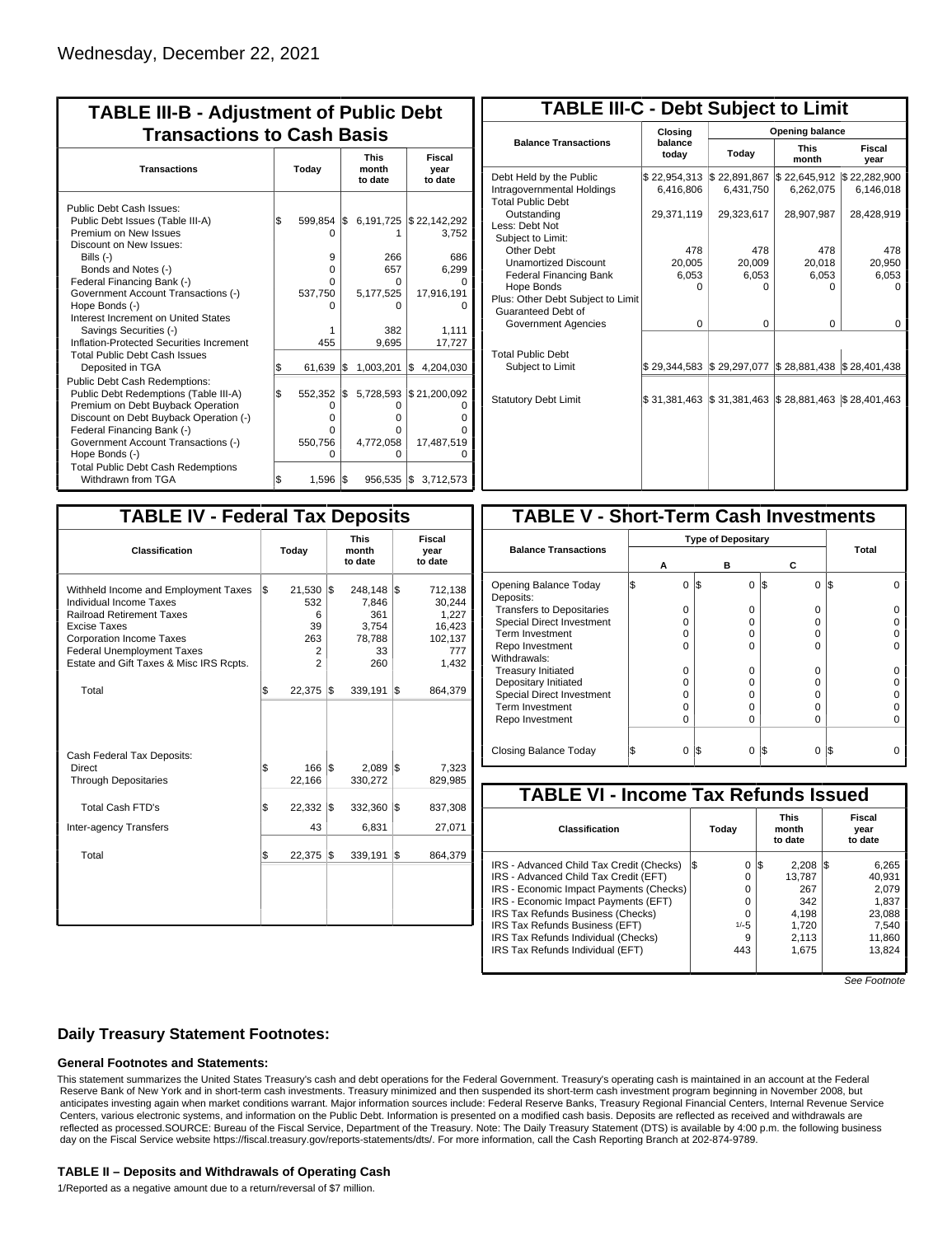| <b>TABLE III-B - Adjustment of Public Debt</b><br><b>Transactions to Cash Basis</b>                                                                                                                                                          |     |                                        |     |                                            |                                                |  |  |  |  |  |
|----------------------------------------------------------------------------------------------------------------------------------------------------------------------------------------------------------------------------------------------|-----|----------------------------------------|-----|--------------------------------------------|------------------------------------------------|--|--|--|--|--|
| <b>Transactions</b>                                                                                                                                                                                                                          |     | Today                                  |     | <b>This</b><br>month<br>to date            | Fiscal<br>year<br>to date                      |  |  |  |  |  |
| Public Debt Cash Issues:<br>Public Debt Issues (Table III-A)<br>Premium on New Issues                                                                                                                                                        | l\$ | $599.854$ \$<br>$\Omega$               |     | 6,191,725                                  | \$22,142,292<br>3.752                          |  |  |  |  |  |
| Discount on New Issues:<br>Bills $(-)$<br>Bonds and Notes (-)<br>Federal Financing Bank (-)<br>Government Account Transactions (-)                                                                                                           |     | 9<br>0<br>0<br>537,750                 |     | 266<br>657<br>0<br>5,177,525               | 686<br>6,299<br>17,916,191                     |  |  |  |  |  |
| Hope Bonds (-)<br>Interest Increment on United States<br>Savings Securities (-)<br>Inflation-Protected Securities Increment<br><b>Total Public Debt Cash Issues</b>                                                                          |     | 455                                    |     | n<br>382<br>9,695                          | 1,111<br>17,727                                |  |  |  |  |  |
| Deposited in TGA                                                                                                                                                                                                                             | S.  | 61.639                                 | 1\$ | 1,003,201                                  | \$4,204,030                                    |  |  |  |  |  |
| Public Debt Cash Redemptions:<br>Public Debt Redemptions (Table III-A)<br>Premium on Debt Buyback Operation<br>Discount on Debt Buyback Operation (-)<br>Federal Financing Bank (-)<br>Government Account Transactions (-)<br>Hope Bonds (-) | l\$ | 552.352<br>0<br>0<br>O<br>550,756<br>O | I\$ | 5,728,593<br>O<br>0<br>0<br>4,772,058<br>O | \$21,200,092<br>O<br>O<br>U<br>17,487,519<br>O |  |  |  |  |  |
| <b>Total Public Debt Cash Redemptions</b><br>Withdrawn from TGA                                                                                                                                                                              | \$  | 1,596                                  | 1\$ |                                            | 956,535 \$ 3,712,573                           |  |  |  |  |  |

| <b>TABLE III-C - Debt Subject to Limit</b>                                        |                           |                                                   |                           |                           |  |  |  |  |  |  |
|-----------------------------------------------------------------------------------|---------------------------|---------------------------------------------------|---------------------------|---------------------------|--|--|--|--|--|--|
|                                                                                   | Closina                   | Opening balance                                   |                           |                           |  |  |  |  |  |  |
| <b>Balance Transactions</b>                                                       | balance<br>today          | Today                                             | <b>This</b><br>month      | Fiscal<br>year            |  |  |  |  |  |  |
| Debt Held by the Public<br>Intragovernmental Holdings<br><b>Total Public Debt</b> | \$22,954,313<br>6.416.806 | \$22,891,867<br>6,431,750                         | \$22,645,912<br>6,262,075 | \$22,282,900<br>6,146,018 |  |  |  |  |  |  |
| Outstanding<br>Less: Debt Not<br>Subject to Limit:                                | 29,371,119                | 29,323,617                                        | 28,907,987                | 28,428,919                |  |  |  |  |  |  |
| Other Debt                                                                        | 478                       | 478                                               | 478                       | 478                       |  |  |  |  |  |  |
| <b>Unamortized Discount</b>                                                       | 20.005                    | 20,009                                            | 20,018                    | 20,950                    |  |  |  |  |  |  |
| <b>Federal Financing Bank</b>                                                     | 6,053                     | 6,053                                             | 6,053                     | 6,053                     |  |  |  |  |  |  |
| Hope Bonds                                                                        | ŋ                         | n                                                 | n                         | n                         |  |  |  |  |  |  |
| Plus: Other Debt Subject to Limit<br>Guaranteed Debt of                           |                           |                                                   |                           |                           |  |  |  |  |  |  |
| Government Agencies                                                               | $\Omega$                  | $\Omega$                                          | $\Omega$                  | $\Omega$                  |  |  |  |  |  |  |
| <b>Total Public Debt</b><br>Subject to Limit                                      | \$29,344,583              | \$29,297,077                                      | \$28,881,438              | \$28,401,438              |  |  |  |  |  |  |
|                                                                                   |                           |                                                   |                           |                           |  |  |  |  |  |  |
| <b>Statutory Debt Limit</b>                                                       | \$31,381,463              | $\frac{1}{3}$ 31,381,463 $\frac{1}{3}$ 28,881,463 |                           | \$28,401,463              |  |  |  |  |  |  |
|                                                                                   |                           |                                                   |                           |                           |  |  |  |  |  |  |

| <b>TABLE IV - Federal Tax Deposits</b>                                                                                                                                                                                                        |    |                                                        |     |                                                         |     |                                                                 |  |  |
|-----------------------------------------------------------------------------------------------------------------------------------------------------------------------------------------------------------------------------------------------|----|--------------------------------------------------------|-----|---------------------------------------------------------|-----|-----------------------------------------------------------------|--|--|
| Classification                                                                                                                                                                                                                                |    | Today                                                  |     | <b>This</b><br>month<br>to date                         |     | Fiscal<br>year<br>to date                                       |  |  |
| Withheld Income and Employment Taxes<br>Individual Income Taxes<br><b>Railroad Retirement Taxes</b><br><b>Excise Taxes</b><br><b>Corporation Income Taxes</b><br><b>Federal Unemployment Taxes</b><br>Estate and Gift Taxes & Misc IRS Rcpts. | \$ | 21,530<br>532<br>6<br>39<br>263<br>2<br>$\overline{2}$ | l\$ | 248,148<br>7,846<br>361<br>3,754<br>78,788<br>33<br>260 | l\$ | 712,138<br>30,244<br>1,227<br>16,423<br>102,137<br>777<br>1,432 |  |  |
| Total                                                                                                                                                                                                                                         | \$ | 22,375                                                 | 1\$ | 339,191                                                 | l\$ | 864,379                                                         |  |  |
| Cash Federal Tax Deposits:<br>Direct<br><b>Through Depositaries</b>                                                                                                                                                                           | \$ | 166<br>22,166                                          | l\$ | 2,089<br>330,272                                        | 1\$ | 7,323<br>829,985                                                |  |  |
| <b>Total Cash FTD's</b><br>Inter-agency Transfers                                                                                                                                                                                             | \$ | 22,332<br>43                                           | l\$ | 332,360<br>6,831                                        | l\$ | 837,308<br>27,071                                               |  |  |
| Total                                                                                                                                                                                                                                         | \$ | 22,375                                                 | 1\$ | 339,191                                                 | l\$ | 864,379                                                         |  |  |
|                                                                                                                                                                                                                                               |    |                                                        |     |                                                         |     |                                                                 |  |  |

| <b>TABLE V - Short-Term Cash Investments</b> |          |                           |          |          |  |  |  |  |  |  |
|----------------------------------------------|----------|---------------------------|----------|----------|--|--|--|--|--|--|
|                                              |          | <b>Type of Depositary</b> |          |          |  |  |  |  |  |  |
| <b>Balance Transactions</b>                  | А        | в                         | С        | Total    |  |  |  |  |  |  |
| Opening Balance Today<br>Deposits:           | 0        | 0<br>1\$                  | 0<br>1\$ | I\$<br>U |  |  |  |  |  |  |
| <b>Transfers to Depositaries</b>             | 0        | O                         | 0        |          |  |  |  |  |  |  |
| <b>Special Direct Investment</b>             | O        | O                         | o        |          |  |  |  |  |  |  |
| Term Investment                              | O        | O                         | o        |          |  |  |  |  |  |  |
| Repo Investment                              | O        | ŋ                         | 0        |          |  |  |  |  |  |  |
| Withdrawals:                                 |          |                           |          |          |  |  |  |  |  |  |
| <b>Treasury Initiated</b>                    | O        | 0                         | 0        | U        |  |  |  |  |  |  |
| Depositary Initiated                         | Ω        | O                         | o        |          |  |  |  |  |  |  |
| Special Direct Investment                    | Ω        | Ω                         | o        |          |  |  |  |  |  |  |
| <b>Term Investment</b>                       | O        | O                         | o        |          |  |  |  |  |  |  |
| Repo Investment                              | O        | O                         | o        | $\Omega$ |  |  |  |  |  |  |
|                                              |          |                           |          |          |  |  |  |  |  |  |
| Closing Balance Today                        | $\Omega$ | I\$<br>0                  | I\$<br>0 | I\$      |  |  |  |  |  |  |

| <b>TABLE VI - Income Tax Refunds Issued</b> |     |        |    |                                 |     |                           |  |  |  |  |
|---------------------------------------------|-----|--------|----|---------------------------------|-----|---------------------------|--|--|--|--|
| Classification                              |     | Today  |    | <b>This</b><br>month<br>to date |     | Fiscal<br>year<br>to date |  |  |  |  |
| IRS - Advanced Child Tax Credit (Checks)    | l\$ | 0      | 13 | 2.208                           | IS. | 6,265                     |  |  |  |  |
| IRS - Advanced Child Tax Credit (EFT)       |     | 0      |    | 13.787                          |     | 40.931                    |  |  |  |  |
| IRS - Economic Impact Payments (Checks)     |     | 0      |    | 267                             |     | 2.079                     |  |  |  |  |
| IRS - Economic Impact Payments (EFT)        |     | 0      |    | 342                             |     | 1.837                     |  |  |  |  |
| IRS Tax Refunds Business (Checks)           |     | 0      |    | 4.198                           |     | 23,088                    |  |  |  |  |
| IRS Tax Refunds Business (EFT)              |     | $1/-5$ |    | 1.720                           |     | 7,540                     |  |  |  |  |
| IRS Tax Refunds Individual (Checks)         |     | 9      |    | 2,113                           |     | 11,860                    |  |  |  |  |
| IRS Tax Refunds Individual (EFT)            |     | 443    |    | 1.675                           |     | 13.824                    |  |  |  |  |
|                                             |     |        |    |                                 |     |                           |  |  |  |  |

See Footnote

# **Daily Treasury Statement Footnotes:**

# **General Footnotes and Statements:**

This statement summarizes the United States Treasury's cash and debt operations for the Federal Government. Treasury's operating cash is maintained in an account at the Federal Reserve Bank of New York and in short-term cash investments. Treasury minimized and then suspended its short-term cash investment program beginning in November 2008, but anticipates investing again when market conditions warrant. Major information sources include: Federal Reserve Banks, Treasury Regional Financial Centers, Internal Revenue Service Centers, various electronic systems, and information on the Public Debt. Information is presented on a modified cash basis. Deposits are reflected as received and withdrawals are reflected as processed.SOURCE: Bureau of the Fiscal Service, Department of the Treasury. Note: The Daily Treasury Statement (DTS) is available by 4:00 p.m. the following business day on the Fiscal Service website https://fiscal.treasury.gov/reports-statements/dts/. For more information, call the Cash Reporting Branch at 202-874-9789.

#### **TABLE II – Deposits and Withdrawals of Operating Cash**

1/Reported as a negative amount due to a return/reversal of \$7 million.